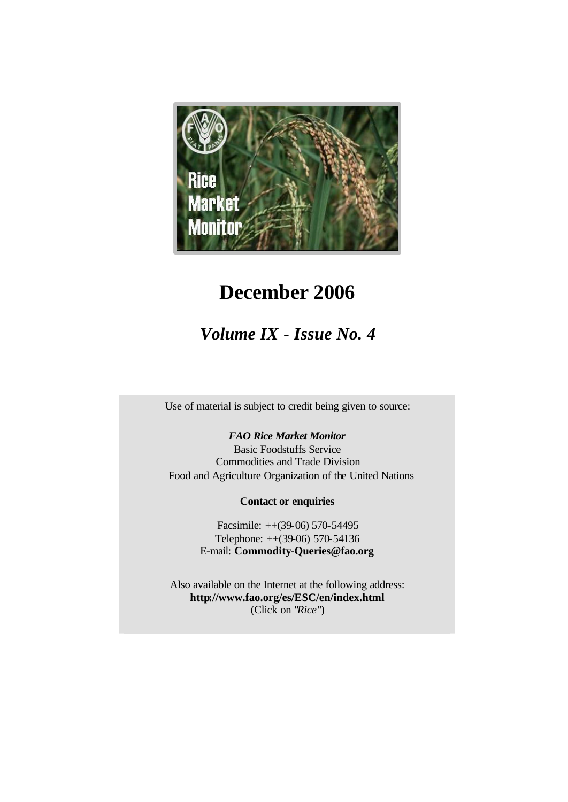

# **December 2006**

# *Volume IX - Issue No. 4*

Use of material is subject to credit being given to source:

# *FAO Rice Market Monitor*

Basic Foodstuffs Service Commodities and Trade Division Food and Agriculture Organization of the United Nations

## **Contact or enquiries**

Facsimile: ++(39-06) 570-54495 Telephone: ++(39-06) 570-54136 E-mail: **Commodity-Queries@fao.org**

Also available on the Internet at the following address: **http://www.fao.org/es/ESC/en/index.html** (Click on "*Rice*")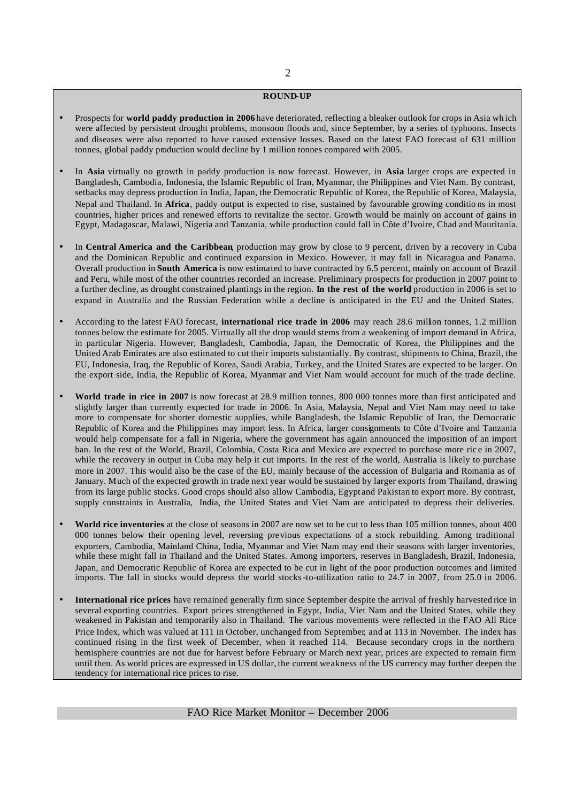#### **ROUND-UP**

- Prospects for **world paddy production in 2006** have deteriorated, reflecting a bleaker outlook for crops in Asia wh ich were affected by persistent drought problems, monsoon floods and, since September, by a series of typhoons. Insects and diseases were also reported to have caused extensive losses. Based on the latest FAO forecast of 631 million tonnes, global paddy production would decline by 1 million tonnes compared with 2005.
- In **Asia** virtually no growth in paddy production is now forecast. However, in **Asia** larger crops are expected in Bangladesh, Cambodia, Indonesia, the Islamic Republic of Iran, Myanmar, the Philippines and Viet Nam. By contrast, setbacks may depress production in India, Japan, the Democratic Republic of Korea, the Republic of Korea, Malaysia, Nepal and Thailand. In **Africa**, paddy output is expected to rise, sustained by favourable growing conditio ns in most countries, higher prices and renewed efforts to revitalize the sector. Growth would be mainly on account of gains in Egypt, Madagascar, Malawi, Nigeria and Tanzania, while production could fall in Côte d'Ivoire, Chad and Mauritania.
- In **Central America and the Caribbean**, production may grow by close to 9 percent, driven by a recovery in Cuba and the Dominican Republic and continued expansion in Mexico. However, it may fall in Nicaragua and Panama. Overall production in **South America** is now estimated to have contracted by 6.5 percent, mainly on account of Brazil and Peru, while most of the other countries recorded an increase. Preliminary prospects for production in 2007 point to a further decline, as drought constrained plantings in the region. **In the rest of the world**, production in 2006 is set to expand in Australia and the Russian Federation while a decline is anticipated in the EU and the United States.
- According to the latest FAO forecast, **international rice trade in 2006** may reach 28.6 million tonnes, 1.2 million tonnes below the estimate for 2005. Virtually all the drop would stems from a weakening of import demand in Africa, in particular Nigeria. However, Bangladesh, Cambodia, Japan, the Democratic of Korea, the Philippines and the United Arab Emirates are also estimated to cut their imports substantially. By contrast, shipments to China, Brazil, the EU, Indonesia, Iraq, the Republic of Korea, Saudi Arabia, Turkey, and the United States are expected to be larger. On the export side, India, the Republic of Korea, Myanmar and Viet Nam would account for much of the trade decline.
- **World trade in rice in 2007** is now forecast at 28.9 million tonnes, 800 000 tonnes more than first anticipated and slightly larger than currently expected for trade in 2006. In Asia, Malaysia, Nepal and Viet Nam may need to take more to compensate for shorter domestic supplies, while Bangladesh, the Islamic Republic of Iran, the Democratic Republic of Korea and the Philippines may import less. In Africa, larger consignments to Côte d'Ivoire and Tanzania would help compensate for a fall in Nigeria, where the government has again announced the imposition of an import ban. In the rest of the World, Brazil, Colombia, Costa Rica and Mexico are expected to purchase more ric e in 2007, while the recovery in output in Cuba may help it cut imports. In the rest of the world, Australia is likely to purchase more in 2007. This would also be the case of the EU, mainly because of the accession of Bulgaria and Romania as of January. Much of the expected growth in trade next year would be sustained by larger exports from Thailand, drawing from its large public stocks. Good crops should also allow Cambodia, Egypt and Pakistan to export more. By contrast, supply constraints in Australia, India, the United States and Viet Nam are anticipated to depress their deliveries.
- **World rice inventories** at the close of seasons in 2007 are now set to be cut to less than 105 million tonnes, about 400 000 tonnes below their opening level, reversing previous expectations of a stock rebuilding. Among traditional exporters, Cambodia, Mainland China, India, Myanmar and Viet Nam may end their seasons with larger inventories, while these might fall in Thailand and the United States. Among importers, reserves in Bangladesh, Brazil, Indonesia, Japan, and Democratic Republic of Korea are expected to be cut in light of the poor production outcomes and limited imports. The fall in stocks would depress the world stocks-to-utilization ratio to 24.7 in 2007, from 25.0 in 2006.
- **International rice prices** have remained generally firm since September despite the arrival of freshly harvested rice in several exporting countries. Export prices strengthened in Egypt, India, Viet Nam and the United States, while they weakened in Pakistan and temporarily also in Thailand. The various movements were reflected in the FAO All Rice Price Index, which was valued at 111 in October, unchanged from September, and at 113 in November. The index has continued rising in the first week of December, when it reached 114. Because secondary crops in the northern hemisphere countries are not due for harvest before February or March next year, prices are expected to remain firm until then. As world prices are expressed in US dollar, the current weakness of the US currency may further deepen the tendency for international rice prices to rise.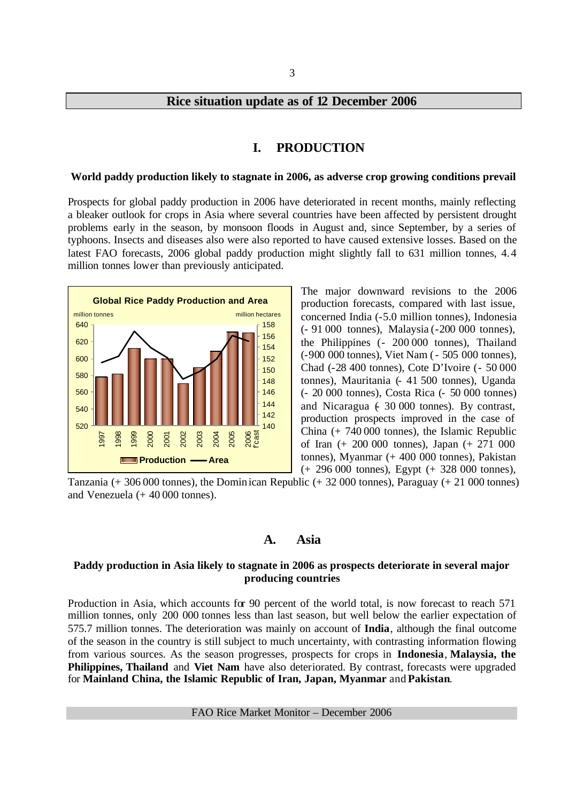## **Rice situation update as of 12 December 2006**

#### **I. PRODUCTION**

#### **World paddy production likely to stagnate in 2006, as adverse crop growing conditions prevail**

Prospects for global paddy production in 2006 have deteriorated in recent months, mainly reflecting a bleaker outlook for crops in Asia where several countries have been affected by persistent drought problems early in the season, by monsoon floods in August and, since September, by a series of typhoons. Insects and diseases also were also reported to have caused extensive losses. Based on the latest FAO forecasts, 2006 global paddy production might slightly fall to 631 million tonnes, 4.4 million tonnes lower than previously anticipated.



The major downward revisions to the 2006 production forecasts, compared with last issue, concerned India (-5.0 million tonnes), Indonesia (- 91 000 tonnes), Malaysia (-200 000 tonnes), the Philippines (- 200 000 tonnes), Thailand (-900 000 tonnes), Viet Nam (- 505 000 tonnes), Chad (-28 400 tonnes), Cote D'Ivoire (- 50 000 tonnes), Mauritania (- 41 500 tonnes), Uganda (- 20 000 tonnes), Costa Rica (- 50 000 tonnes) and Nicaragua  $(30000 \text{ tonnes})$ . By contrast, production prospects improved in the case of China (+ 740 000 tonnes), the Islamic Republic of Iran (+ 200 000 tonnes), Japan (+ 271 000 tonnes), Myanmar (+ 400 000 tonnes), Pakistan (+ 296 000 tonnes), Egypt (+ 328 000 tonnes),

Tanzania (+ 306 000 tonnes), the Domin ican Republic (+ 32 000 tonnes), Paraguay (+ 21 000 tonnes) and Venezuela (+ 40 000 tonnes).

## **A. Asia**

#### **Paddy production in Asia likely to stagnate in 2006 as prospects deteriorate in several major producing countries**

Production in Asia, which accounts for 90 percent of the world total, is now forecast to reach 571 million tonnes, only 200 000 tonnes less than last season, but well below the earlier expectation of 575.7 million tonnes. The deterioration was mainly on account of **India**, although the final outcome of the season in the country is still subject to much uncertainty, with contrasting information flowing from various sources. As the season progresses, prospects for crops in **Indonesia**, **Malaysia, the Philippines, Thailand** and **Viet Nam** have also deteriorated. By contrast, forecasts were upgraded for **Mainland China, the Islamic Republic of Iran, Japan, Myanmar** and **Pakistan**.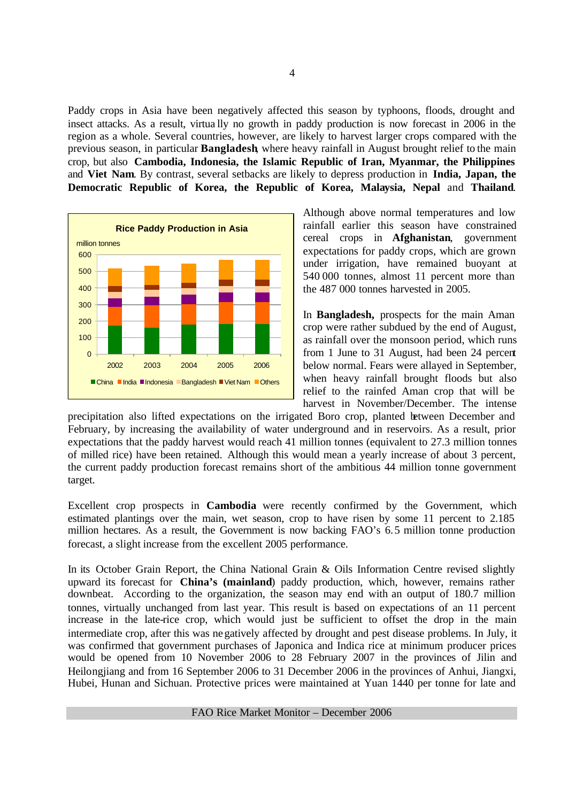Paddy crops in Asia have been negatively affected this season by typhoons, floods, drought and insect attacks. As a result, virtua lly no growth in paddy production is now forecast in 2006 in the region as a whole. Several countries, however, are likely to harvest larger crops compared with the previous season, in particular **Bangladesh**, where heavy rainfall in August brought relief to the main crop, but also **Cambodia, Indonesia, the Islamic Republic of Iran, Myanmar, the Philippines**  and **Viet Nam**. By contrast, several setbacks are likely to depress production in **India, Japan, the Democratic Republic of Korea, the Republic of Korea, Malaysia, Nepal** and **Thailand**.



Although above normal temperatures and low rainfall earlier this season have constrained cereal crops in **Afghanistan**, government expectations for paddy crops, which are grown under irrigation, have remained buoyant at 540 000 tonnes, almost 11 percent more than the 487 000 tonnes harvested in 2005.

In **Bangladesh,** prospects for the main Aman crop were rather subdued by the end of August, as rainfall over the monsoon period, which runs from 1 June to 31 August, had been 24 percent below normal. Fears were allayed in September, when heavy rainfall brought floods but also relief to the rainfed Aman crop that will be harvest in November/December. The intense

precipitation also lifted expectations on the irrigated Boro crop, planted between December and February, by increasing the availability of water underground and in reservoirs. As a result, prior expectations that the paddy harvest would reach 41 million tonnes (equivalent to 27.3 million tonnes of milled rice) have been retained. Although this would mean a yearly increase of about 3 percent, the current paddy production forecast remains short of the ambitious 44 million tonne government target.

Excellent crop prospects in **Cambodia** were recently confirmed by the Government, which estimated plantings over the main, wet season, crop to have risen by some 11 percent to 2.185 million hectares. As a result, the Government is now backing FAO's 6.5 million tonne production forecast, a slight increase from the excellent 2005 performance.

In its October Grain Report, the China National Grain & Oils Information Centre revised slightly upward its forecast for **China's (mainland**) paddy production, which, however, remains rather downbeat. According to the organization, the season may end with an output of 180.7 million tonnes, virtually unchanged from last year. This result is based on expectations of an 11 percent increase in the late-rice crop, which would just be sufficient to offset the drop in the main intermediate crop, after this was negatively affected by drought and pest disease problems. In July, it was confirmed that government purchases of Japonica and Indica rice at minimum producer prices would be opened from 10 November 2006 to 28 February 2007 in the provinces of Jilin and Heilongjiang and from 16 September 2006 to 31 December 2006 in the provinces of Anhui, Jiangxi, Hubei, Hunan and Sichuan. Protective prices were maintained at Yuan 1440 per tonne for late and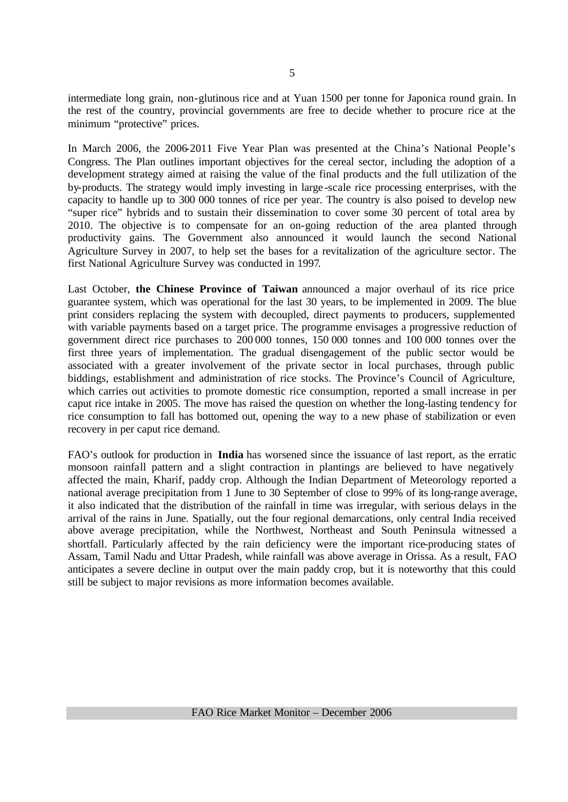intermediate long grain, non-glutinous rice and at Yuan 1500 per tonne for Japonica round grain. In the rest of the country, provincial governments are free to decide whether to procure rice at the minimum "protective" prices.

In March 2006, the 2006-2011 Five Year Plan was presented at the China's National People's Congress. The Plan outlines important objectives for the cereal sector, including the adoption of a development strategy aimed at raising the value of the final products and the full utilization of the by-products. The strategy would imply investing in large -scale rice processing enterprises, with the capacity to handle up to 300 000 tonnes of rice per year. The country is also poised to develop new "super rice" hybrids and to sustain their dissemination to cover some 30 percent of total area by 2010. The objective is to compensate for an on-going reduction of the area planted through productivity gains. The Government also announced it would launch the second National Agriculture Survey in 2007, to help set the bases for a revitalization of the agriculture sector. The first National Agriculture Survey was conducted in 1997.

Last October, **the Chinese Province of Taiwan** announced a major overhaul of its rice price guarantee system, which was operational for the last 30 years, to be implemented in 2009. The blue print considers replacing the system with decoupled, direct payments to producers, supplemented with variable payments based on a target price. The programme envisages a progressive reduction of government direct rice purchases to 200 000 tonnes, 150 000 tonnes and 100 000 tonnes over the first three years of implementation. The gradual disengagement of the public sector would be associated with a greater involvement of the private sector in local purchases, through public biddings, establishment and administration of rice stocks. The Province's Council of Agriculture, which carries out activities to promote domestic rice consumption, reported a small increase in per caput rice intake in 2005. The move has raised the question on whether the long-lasting tendency for rice consumption to fall has bottomed out, opening the way to a new phase of stabilization or even recovery in per caput rice demand.

FAO's outlook for production in **India** has worsened since the issuance of last report, as the erratic monsoon rainfall pattern and a slight contraction in plantings are believed to have negatively affected the main, Kharif, paddy crop. Although the Indian Department of Meteorology reported a national average precipitation from 1 June to 30 September of close to 99% of its long-range average, it also indicated that the distribution of the rainfall in time was irregular, with serious delays in the arrival of the rains in June. Spatially, out the four regional demarcations, only central India received above average precipitation, while the Northwest, Northeast and South Peninsula witnessed a shortfall. Particularly affected by the rain deficiency were the important rice-producing states of Assam, Tamil Nadu and Uttar Pradesh, while rainfall was above average in Orissa. As a result, FAO anticipates a severe decline in output over the main paddy crop, but it is noteworthy that this could still be subject to major revisions as more information becomes available.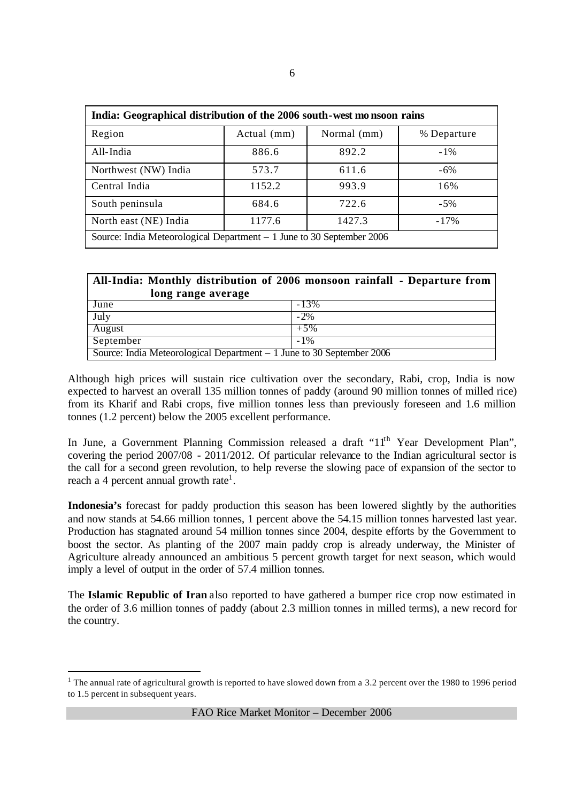| India: Geographical distribution of the 2006 south-west monsoon rains  |                            |        |             |  |  |  |  |
|------------------------------------------------------------------------|----------------------------|--------|-------------|--|--|--|--|
| Region                                                                 | Actual (mm)<br>Normal (mm) |        | % Departure |  |  |  |  |
| All-India                                                              | 886.6                      | 892.2  | $-1\%$      |  |  |  |  |
| Northwest (NW) India                                                   | 573.7<br>611.6             |        | $-6\%$      |  |  |  |  |
| Central India                                                          | 1152.2                     | 993.9  | 16%         |  |  |  |  |
| South peninsula                                                        | 684.6                      | 722.6  | $-5%$       |  |  |  |  |
| North east (NE) India                                                  | 1177.6                     | 1427.3 | $-17%$      |  |  |  |  |
| Source: India Meteorological Department $-1$ June to 30 September 2006 |                            |        |             |  |  |  |  |

| All-India: Monthly distribution of 2006 monsoon rainfall - Departure from |        |  |  |  |  |  |
|---------------------------------------------------------------------------|--------|--|--|--|--|--|
| long range average                                                        |        |  |  |  |  |  |
| June                                                                      | $-13%$ |  |  |  |  |  |
| July                                                                      | $-2\%$ |  |  |  |  |  |
| August                                                                    | $+5%$  |  |  |  |  |  |
| September                                                                 | $-1\%$ |  |  |  |  |  |
| Source: India Meteorological Department $-1$ June to 30 September 2006    |        |  |  |  |  |  |

Although high prices will sustain rice cultivation over the secondary, Rabi, crop, India is now expected to harvest an overall 135 million tonnes of paddy (around 90 million tonnes of milled rice) from its Kharif and Rabi crops, five million tonnes less than previously foreseen and 1.6 million tonnes (1.2 percent) below the 2005 excellent performance.

In June, a Government Planning Commission released a draft "1<sup>th</sup> Year Development Plan", covering the period 2007/08 - 2011/2012. Of particular relevance to the Indian agricultural sector is the call for a second green revolution, to help reverse the slowing pace of expansion of the sector to reach a 4 percent annual growth rate<sup>1</sup>.

**Indonesia's** forecast for paddy production this season has been lowered slightly by the authorities and now stands at 54.66 million tonnes, 1 percent above the 54.15 million tonnes harvested last year. Production has stagnated around 54 million tonnes since 2004, despite efforts by the Government to boost the sector. As planting of the 2007 main paddy crop is already underway, the Minister of Agriculture already announced an ambitious 5 percent growth target for next season, which would imply a level of output in the order of 57.4 million tonnes.

The **Islamic Republic of Iran** also reported to have gathered a bumper rice crop now estimated in the order of 3.6 million tonnes of paddy (about 2.3 million tonnes in milled terms), a new record for the country.

<sup>&</sup>lt;sup>1</sup> The annual rate of agricultural growth is reported to have slowed down from a 3.2 percent over the 1980 to 1996 period to 1.5 percent in subsequent years.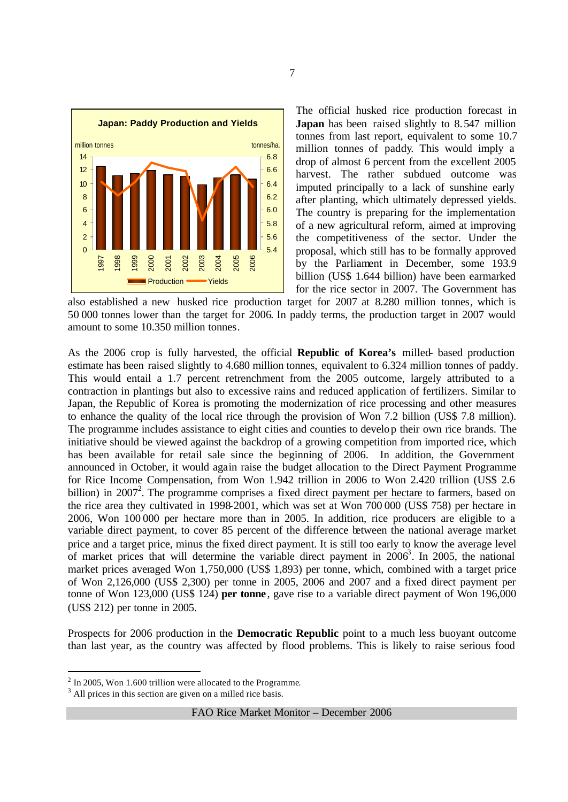

The official husked rice production forecast in **Japan** has been raised slightly to 8.547 million tonnes from last report, equivalent to some 10.7 million tonnes of paddy. This would imply a drop of almost 6 percent from the excellent 2005 harvest. The rather subdued outcome was imputed principally to a lack of sunshine early after planting, which ultimately depressed yields. The country is preparing for the implementation of a new agricultural reform, aimed at improving the competitiveness of the sector. Under the proposal, which still has to be formally approved by the Parliament in December, some 193.9 billion (US\$ 1.644 billion) have been earmarked for the rice sector in 2007. The Government has

also established a new husked rice production target for 2007 at 8.280 million tonnes, which is 50 000 tonnes lower than the target for 2006. In paddy terms, the production target in 2007 would amount to some 10.350 million tonnes.

As the 2006 crop is fully harvested, the official **Republic of Korea's** milled- based production estimate has been raised slightly to 4.680 million tonnes, equivalent to 6.324 million tonnes of paddy. This would entail a 1.7 percent retrenchment from the 2005 outcome, largely attributed to a contraction in plantings but also to excessive rains and reduced application of fertilizers. Similar to Japan, the Republic of Korea is promoting the modernization of rice processing and other measures to enhance the quality of the local rice through the provision of Won 7.2 billion (US\$ 7.8 million). The programme includes assistance to eight cities and counties to develop their own rice brands. The initiative should be viewed against the backdrop of a growing competition from imported rice, which has been available for retail sale since the beginning of 2006. In addition, the Government announced in October, it would again raise the budget allocation to the Direct Payment Programme for Rice Income Compensation, from Won 1.942 trillion in 2006 to Won 2.420 trillion (US\$ 2.6 billion) in 2007<sup>2</sup>. The programme comprises a <u>fixed direct payment per hectare</u> to farmers, based on the rice area they cultivated in 1998-2001, which was set at Won 700 000 (US\$ 758) per hectare in 2006, Won 100 000 per hectare more than in 2005. In addition, rice producers are eligible to a variable direct payment, to cover 85 percent of the difference between the national average market price and a target price, minus the fixed direct payment. It is still too early to know the average level of market prices that will determine the variable direct payment in  $2006<sup>3</sup>$ . In 2005, the national market prices averaged Won 1,750,000 (US\$ 1,893) per tonne, which, combined with a target price of Won 2,126,000 (US\$ 2,300) per tonne in 2005, 2006 and 2007 and a fixed direct payment per tonne of Won 123,000 (US\$ 124) **per tonne**, gave rise to a variable direct payment of Won 196,000 (US\$ 212) per tonne in 2005.

Prospects for 2006 production in the **Democratic Republic** point to a much less buoyant outcome than last year, as the country was affected by flood problems. This is likely to raise serious food

 $2$  In 2005, Won 1.600 trillion were allocated to the Programme.

 $3$  All prices in this section are given on a milled rice basis.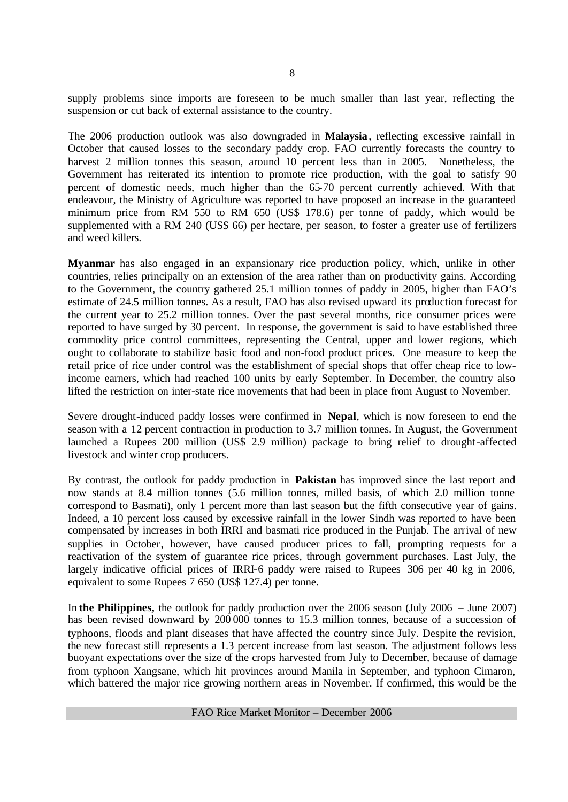supply problems since imports are foreseen to be much smaller than last year, reflecting the suspension or cut back of external assistance to the country.

The 2006 production outlook was also downgraded in **Malaysia**, reflecting excessive rainfall in October that caused losses to the secondary paddy crop. FAO currently forecasts the country to harvest 2 million tonnes this season, around 10 percent less than in 2005. Nonetheless, the Government has reiterated its intention to promote rice production, with the goal to satisfy 90 percent of domestic needs, much higher than the 65-70 percent currently achieved. With that endeavour, the Ministry of Agriculture was reported to have proposed an increase in the guaranteed minimum price from RM 550 to RM 650 (US\$ 178.6) per tonne of paddy, which would be supplemented with a RM 240 (US\$ 66) per hectare, per season, to foster a greater use of fertilizers and weed killers.

**Myanmar** has also engaged in an expansionary rice production policy, which, unlike in other countries, relies principally on an extension of the area rather than on productivity gains. According to the Government, the country gathered 25.1 million tonnes of paddy in 2005, higher than FAO's estimate of 24.5 million tonnes. As a result, FAO has also revised upward its production forecast for the current year to 25.2 million tonnes. Over the past several months, rice consumer prices were reported to have surged by 30 percent. In response, the government is said to have established three commodity price control committees, representing the Central, upper and lower regions, which ought to collaborate to stabilize basic food and non-food product prices. One measure to keep the retail price of rice under control was the establishment of special shops that offer cheap rice to lowincome earners, which had reached 100 units by early September. In December, the country also lifted the restriction on inter-state rice movements that had been in place from August to November.

Severe drought-induced paddy losses were confirmed in **Nepal**, which is now foreseen to end the season with a 12 percent contraction in production to 3.7 million tonnes. In August, the Government launched a Rupees 200 million (US\$ 2.9 million) package to bring relief to drought-affected livestock and winter crop producers.

By contrast, the outlook for paddy production in **Pakistan** has improved since the last report and now stands at 8.4 million tonnes (5.6 million tonnes, milled basis, of which 2.0 million tonne correspond to Basmati), only 1 percent more than last season but the fifth consecutive year of gains. Indeed, a 10 percent loss caused by excessive rainfall in the lower Sindh was reported to have been compensated by increases in both IRRI and basmati rice produced in the Punjab. The arrival of new supplies in October, however, have caused producer prices to fall, prompting requests for a reactivation of the system of guarantee rice prices, through government purchases. Last July, the largely indicative official prices of IRRI-6 paddy were raised to Rupees 306 per 40 kg in 2006, equivalent to some Rupees 7 650 (US\$ 127.4) per tonne.

In **the Philippines,** the outlook for paddy production over the 2006 season (July 2006 – June 2007) has been revised downward by 200 000 tonnes to 15.3 million tonnes, because of a succession of typhoons, floods and plant diseases that have affected the country since July. Despite the revision, the new forecast still represents a 1.3 percent increase from last season. The adjustment follows less buoyant expectations over the size of the crops harvested from July to December, because of damage from typhoon Xangsane, which hit provinces around Manila in September, and typhoon Cimaron, which battered the major rice growing northern areas in November. If confirmed, this would be the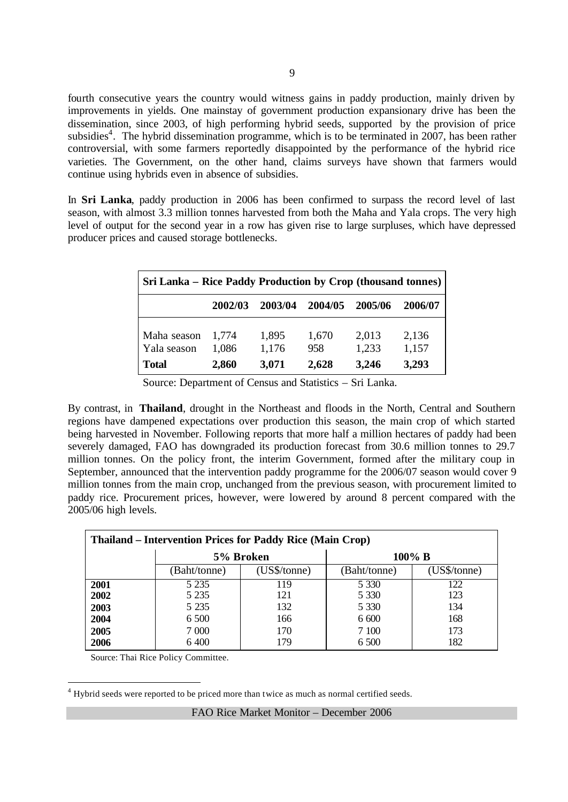fourth consecutive years the country would witness gains in paddy production, mainly driven by improvements in yields. One mainstay of government production expansionary drive has been the dissemination, since 2003, of high performing hybrid seeds, supported by the provision of price subsidies<sup>4</sup>. The hybrid dissemination programme, which is to be terminated in 2007, has been rather controversial, with some farmers reportedly disappointed by the performance of the hybrid rice varieties. The Government, on the other hand, claims surveys have shown that farmers would continue using hybrids even in absence of subsidies.

In **Sri Lanka**, paddy production in 2006 has been confirmed to surpass the record level of last season, with almost 3.3 million tonnes harvested from both the Maha and Yala crops. The very high level of output for the second year in a row has given rise to large surpluses, which have depressed producer prices and caused storage bottlenecks.

| Sri Lanka – Rice Paddy Production by Crop (thousand tonnes) |                |                |              |                |                |  |  |  |
|-------------------------------------------------------------|----------------|----------------|--------------|----------------|----------------|--|--|--|
|                                                             | 2002/03        | 2003/04        | 2004/05      | 2005/06        | 2006/07        |  |  |  |
| Maha season<br>Yala season                                  | 1,774<br>1,086 | 1,895<br>1,176 | 1,670<br>958 | 2,013<br>1,233 | 2,136<br>1,157 |  |  |  |
| <b>Total</b>                                                | 2,860          | 3,071          | 2,628        | 3,246          | 3,293          |  |  |  |

Source: Department of Census and Statistics – Sri Lanka.

By contrast, in **Thailand**, drought in the Northeast and floods in the North, Central and Southern regions have dampened expectations over production this season, the main crop of which started being harvested in November. Following reports that more half a million hectares of paddy had been severely damaged, FAO has downgraded its production forecast from 30.6 million tonnes to 29.7 million tonnes. On the policy front, the interim Government, formed after the military coup in September, announced that the intervention paddy programme for the 2006/07 season would cover 9 million tonnes from the main crop, unchanged from the previous season, with procurement limited to paddy rice. Procurement prices, however, were lowered by around 8 percent compared with the 2005/06 high levels.

| <b>Thailand – Intervention Prices for Paddy Rice (Main Crop)</b> |              |              |              |              |  |  |  |  |
|------------------------------------------------------------------|--------------|--------------|--------------|--------------|--|--|--|--|
|                                                                  |              | 5% Broken    | $100\%$ B    |              |  |  |  |  |
|                                                                  | (Baht/tonne) | (US\$/tonne) | (Baht/tonne) | (US\$/tonne) |  |  |  |  |
| 2001                                                             | 5 2 3 5      | 119          | 5 3 3 0      | 122          |  |  |  |  |
| 2002                                                             | 5 2 3 5      | 121          | 5 3 3 0      | 123          |  |  |  |  |
| 2003                                                             | 5 2 3 5      | 132          | 5 3 3 0      | 134          |  |  |  |  |
| 2004                                                             | 6 500        | 166          | 6 600        | 168          |  |  |  |  |
| 2005                                                             | 7 0 0 0      | 170          | 7 100        | 173          |  |  |  |  |
| 2006                                                             | 6 400        | 179          | 6 500        | 182          |  |  |  |  |

Source: Thai Rice Policy Committee.

l

 $4$  Hybrid seeds were reported to be priced more than twice as much as normal certified seeds.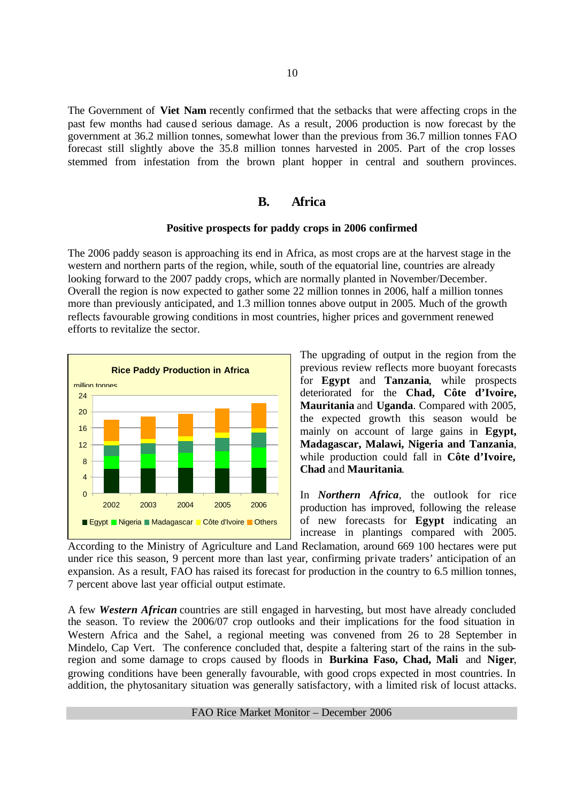The Government of **Viet Nam** recently confirmed that the setbacks that were affecting crops in the past few months had caused serious damage. As a result, 2006 production is now forecast by the government at 36.2 million tonnes, somewhat lower than the previous from 36.7 million tonnes FAO forecast still slightly above the 35.8 million tonnes harvested in 2005. Part of the crop losses stemmed from infestation from the brown plant hopper in central and southern provinces.

# **B. Africa**

#### **Positive prospects for paddy crops in 2006 confirmed**

The 2006 paddy season is approaching its end in Africa, as most crops are at the harvest stage in the western and northern parts of the region, while, south of the equatorial line, countries are already looking forward to the 2007 paddy crops, which are normally planted in November/December. Overall the region is now expected to gather some 22 million tonnes in 2006, half a million tonnes more than previously anticipated, and 1.3 million tonnes above output in 2005. Much of the growth reflects favourable growing conditions in most countries, higher prices and government renewed efforts to revitalize the sector.



The upgrading of output in the region from the previous review reflects more buoyant forecasts for **Egypt** and **Tanzania**, while prospects deteriorated for the **Chad, Côte d'Ivoire, Mauritania** and **Uganda**. Compared with 2005, the expected growth this season would be mainly on account of large gains in **Egypt, Madagascar, Malawi, Nigeria and Tanzania**, while production could fall in **Côte d'Ivoire, Chad** and **Mauritania**.

In *Northern Africa,* the outlook for rice production has improved, following the release of new forecasts for **Egypt** indicating an increase in plantings compared with 2005.

According to the Ministry of Agriculture and Land Reclamation, around 669 100 hectares were put under rice this season, 9 percent more than last year, confirming private traders' anticipation of an expansion. As a result, FAO has raised its forecast for production in the country to 6.5 million tonnes, 7 percent above last year official output estimate.

A few *Western African* countries are still engaged in harvesting, but most have already concluded the season. To review the 2006/07 crop outlooks and their implications for the food situation in Western Africa and the Sahel, a regional meeting was convened from 26 to 28 September in Mindelo, Cap Vert. The conference concluded that, despite a faltering start of the rains in the subregion and some damage to crops caused by floods in **Burkina Faso, Chad, Mali** and **Niger**, growing conditions have been generally favourable, with good crops expected in most countries. In addition, the phytosanitary situation was generally satisfactory, with a limited risk of locust attacks.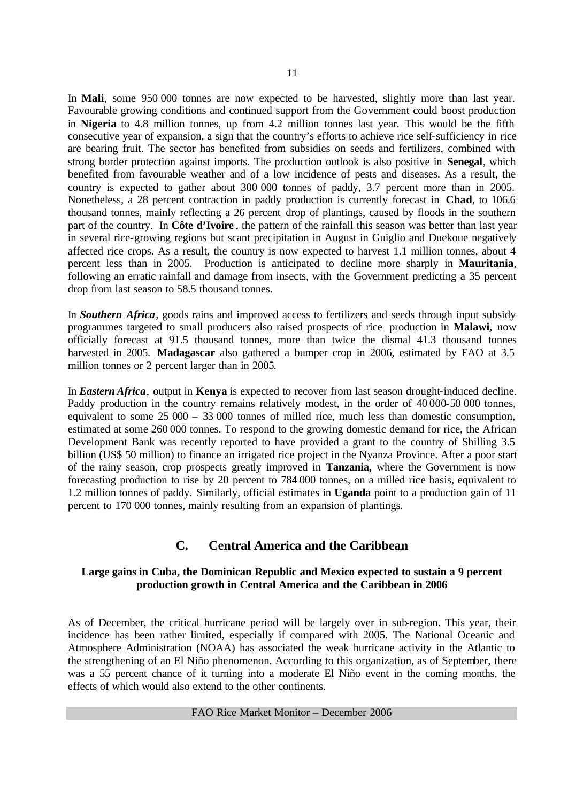In **Mali**, some 950 000 tonnes are now expected to be harvested, slightly more than last year. Favourable growing conditions and continued support from the Government could boost production in **Nigeria** to 4.8 million tonnes, up from 4.2 million tonnes last year. This would be the fifth consecutive year of expansion, a sign that the country's efforts to achieve rice self-sufficiency in rice are bearing fruit. The sector has benefited from subsidies on seeds and fertilizers, combined with strong border protection against imports. The production outlook is also positive in **Senegal**, which benefited from favourable weather and of a low incidence of pests and diseases. As a result, the country is expected to gather about 300 000 tonnes of paddy, 3.7 percent more than in 2005. Nonetheless, a 28 percent contraction in paddy production is currently forecast in **Chad**, to 106.6 thousand tonnes, mainly reflecting a 26 percent drop of plantings, caused by floods in the southern part of the country. In **Côte d'Ivoire** , the pattern of the rainfall this season was better than last year in several rice-growing regions but scant precipitation in August in Guiglio and Duekoue negatively affected rice crops. As a result, the country is now expected to harvest 1.1 million tonnes, about 4 percent less than in 2005. Production is anticipated to decline more sharply in **Mauritania**, following an erratic rainfall and damage from insects, with the Government predicting a 35 percent drop from last season to 58.5 thousand tonnes.

In *Southern Africa*, goods rains and improved access to fertilizers and seeds through input subsidy programmes targeted to small producers also raised prospects of rice production in **Malawi,** now officially forecast at 91.5 thousand tonnes, more than twice the dismal 41.3 thousand tonnes harvested in 2005. **Madagascar** also gathered a bumper crop in 2006, estimated by FAO at 3.5 million tonnes or 2 percent larger than in 2005.

In *Eastern Africa,* output in **Kenya** is expected to recover from last season drought-induced decline. Paddy production in the country remains relatively modest, in the order of 40 000-50 000 tonnes, equivalent to some 25 000 – 33 000 tonnes of milled rice, much less than domestic consumption, estimated at some 260 000 tonnes. To respond to the growing domestic demand for rice, the African Development Bank was recently reported to have provided a grant to the country of Shilling 3.5 billion (US\$ 50 million) to finance an irrigated rice project in the Nyanza Province. After a poor start of the rainy season, crop prospects greatly improved in **Tanzania,** where the Government is now forecasting production to rise by 20 percent to 784 000 tonnes, on a milled rice basis, equivalent to 1.2 million tonnes of paddy. Similarly, official estimates in **Uganda** point to a production gain of 11 percent to 170 000 tonnes, mainly resulting from an expansion of plantings.

# **C. Central America and the Caribbean**

# **Large gains in Cuba, the Dominican Republic and Mexico expected to sustain a 9 percent production growth in Central America and the Caribbean in 2006**

As of December, the critical hurricane period will be largely over in sub-region. This year, their incidence has been rather limited, especially if compared with 2005. The National Oceanic and Atmosphere Administration (NOAA) has associated the weak hurricane activity in the Atlantic to the strengthening of an El Niño phenomenon. According to this organization, as of September, there was a 55 percent chance of it turning into a moderate El Niño event in the coming months, the effects of which would also extend to the other continents.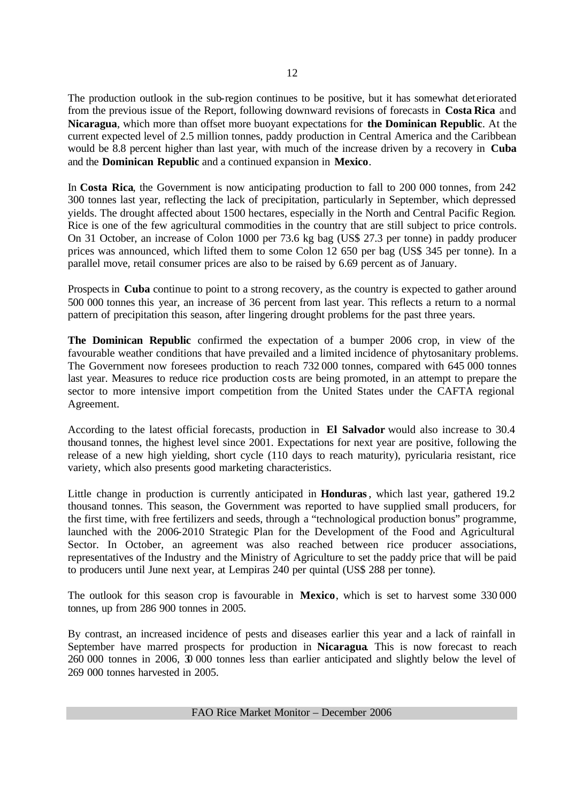The production outlook in the sub-region continues to be positive, but it has somewhat det eriorated from the previous issue of the Report, following downward revisions of forecasts in **Costa Rica** and **Nicaragua**, which more than offset more buoyant expectations for **the Dominican Republic**. At the current expected level of 2.5 million tonnes, paddy production in Central America and the Caribbean would be 8.8 percent higher than last year, with much of the increase driven by a recovery in **Cuba** and the **Dominican Republic** and a continued expansion in **Mexico**.

In **Costa Rica**, the Government is now anticipating production to fall to 200 000 tonnes, from 242 300 tonnes last year, reflecting the lack of precipitation, particularly in September, which depressed yields. The drought affected about 1500 hectares, especially in the North and Central Pacific Region. Rice is one of the few agricultural commodities in the country that are still subject to price controls. On 31 October, an increase of Colon 1000 per 73.6 kg bag (US\$ 27.3 per tonne) in paddy producer prices was announced, which lifted them to some Colon 12 650 per bag (US\$ 345 per tonne). In a parallel move, retail consumer prices are also to be raised by 6.69 percent as of January.

Prospects in **Cuba** continue to point to a strong recovery, as the country is expected to gather around 500 000 tonnes this year, an increase of 36 percent from last year. This reflects a return to a normal pattern of precipitation this season, after lingering drought problems for the past three years.

**The Dominican Republic** confirmed the expectation of a bumper 2006 crop, in view of the favourable weather conditions that have prevailed and a limited incidence of phytosanitary problems. The Government now foresees production to reach 732 000 tonnes, compared with 645 000 tonnes last year. Measures to reduce rice production costs are being promoted, in an attempt to prepare the sector to more intensive import competition from the United States under the CAFTA regional Agreement.

According to the latest official forecasts, production in **El Salvador** would also increase to 30.4 thousand tonnes, the highest level since 2001. Expectations for next year are positive, following the release of a new high yielding, short cycle (110 days to reach maturity), pyricularia resistant, rice variety, which also presents good marketing characteristics.

Little change in production is currently anticipated in **Honduras**, which last year, gathered 19.2 thousand tonnes. This season, the Government was reported to have supplied small producers, for the first time, with free fertilizers and seeds, through a "technological production bonus" programme, launched with the 2006-2010 Strategic Plan for the Development of the Food and Agricultural Sector. In October, an agreement was also reached between rice producer associations, representatives of the Industry and the Ministry of Agriculture to set the paddy price that will be paid to producers until June next year, at Lempiras 240 per quintal (US\$ 288 per tonne).

The outlook for this season crop is favourable in **Mexico**, which is set to harvest some 330 000 tonnes, up from 286 900 tonnes in 2005.

By contrast, an increased incidence of pests and diseases earlier this year and a lack of rainfall in September have marred prospects for production in **Nicaragua**. This is now forecast to reach 260 000 tonnes in 2006, 30 000 tonnes less than earlier anticipated and slightly below the level of 269 000 tonnes harvested in 2005.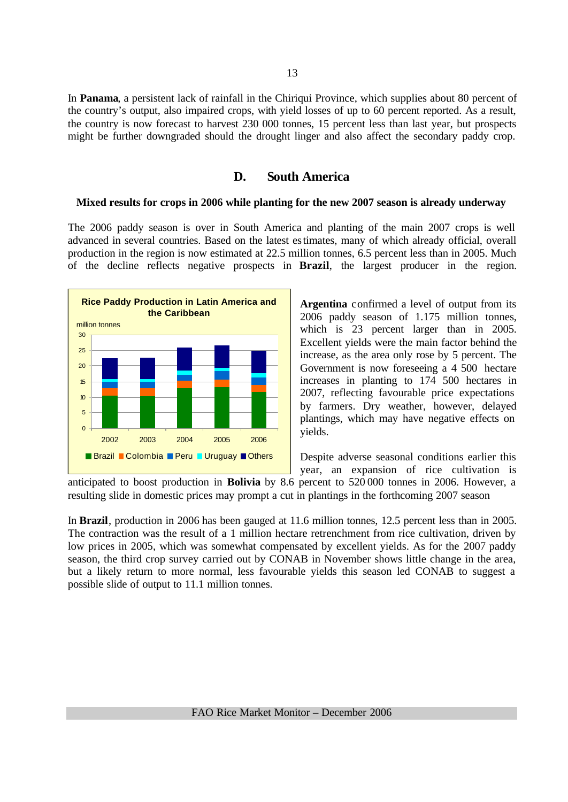In **Panama**, a persistent lack of rainfall in the Chiriqui Province, which supplies about 80 percent of the country's output, also impaired crops, with yield losses of up to 60 percent reported. As a result, the country is now forecast to harvest 230 000 tonnes, 15 percent less than last year, but prospects might be further downgraded should the drought linger and also affect the secondary paddy crop.

# **D. South America**

#### **Mixed results for crops in 2006 while planting for the new 2007 season is already underway**

The 2006 paddy season is over in South America and planting of the main 2007 crops is well advanced in several countries. Based on the latest estimates, many of which already official, overall production in the region is now estimated at 22.5 million tonnes, 6.5 percent less than in 2005. Much of the decline reflects negative prospects in **Brazil**, the largest producer in the region.



**Argentina** confirmed a level of output from its 2006 paddy season of 1.175 million tonnes, which is 23 percent larger than in 2005. Excellent yields were the main factor behind the increase, as the area only rose by 5 percent. The Government is now foreseeing a 4 500 hectare increases in planting to 174 500 hectares in 2007, reflecting favourable price expectations by farmers. Dry weather, however, delayed plantings, which may have negative effects on yields.

Despite adverse seasonal conditions earlier this year, an expansion of rice cultivation is

anticipated to boost production in **Bolivia** by 8.6 percent to 520 000 tonnes in 2006. However, a resulting slide in domestic prices may prompt a cut in plantings in the forthcoming 2007 season

In **Brazil**, production in 2006 has been gauged at 11.6 million tonnes, 12.5 percent less than in 2005. The contraction was the result of a 1 million hectare retrenchment from rice cultivation, driven by low prices in 2005, which was somewhat compensated by excellent yields. As for the 2007 paddy season, the third crop survey carried out by CONAB in November shows little change in the area, but a likely return to more normal, less favourable yields this season led CONAB to suggest a possible slide of output to 11.1 million tonnes.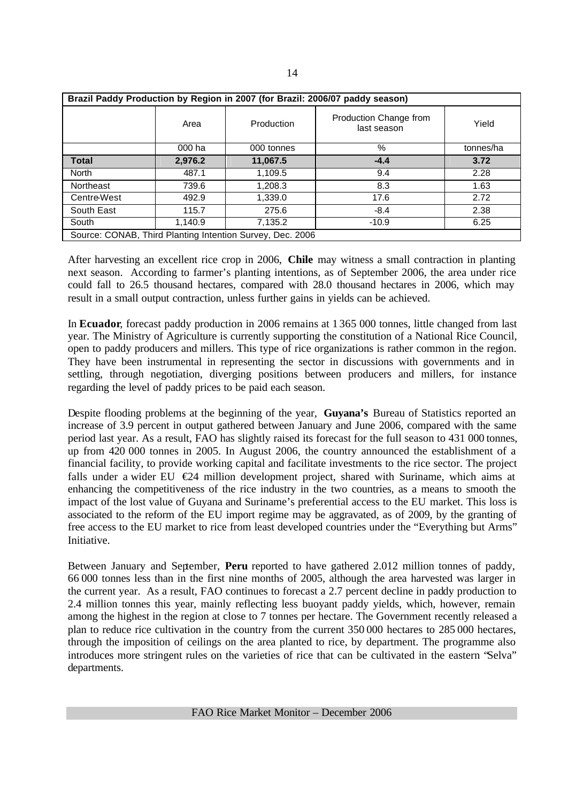| Brazil Paddy Production by Region in 2007 (for Brazil: 2006/07 paddy season) |         |            |                                       |           |  |  |  |
|------------------------------------------------------------------------------|---------|------------|---------------------------------------|-----------|--|--|--|
|                                                                              | Area    | Production | Production Change from<br>last season | Yield     |  |  |  |
|                                                                              | 000 ha  | 000 tonnes | %                                     | tonnes/ha |  |  |  |
| <b>Total</b>                                                                 | 2,976.2 | 11,067.5   | $-4.4$                                | 3.72      |  |  |  |
| <b>North</b>                                                                 | 487.1   | 1,109.5    | 9.4                                   | 2.28      |  |  |  |
| Northeast                                                                    | 739.6   | 1,208.3    | 8.3                                   | 1.63      |  |  |  |
| <b>Centre-West</b>                                                           | 492.9   | 1,339.0    | 17.6                                  | 2.72      |  |  |  |
| South East                                                                   | 115.7   | 275.6      | $-8.4$                                | 2.38      |  |  |  |
| South                                                                        | 1,140.9 | 7,135.2    | $-10.9$                               | 6.25      |  |  |  |
| Source: CONAB, Third Planting Intention Survey, Dec. 2006                    |         |            |                                       |           |  |  |  |

After harvesting an excellent rice crop in 2006, **Chile** may witness a small contraction in planting next season. According to farmer's planting intentions, as of September 2006, the area under rice could fall to 26.5 thousand hectares, compared with 28.0 thousand hectares in 2006, which may result in a small output contraction, unless further gains in yields can be achieved.

In **Ecuador**, forecast paddy production in 2006 remains at 1 365 000 tonnes, little changed from last year. The Ministry of Agriculture is currently supporting the constitution of a National Rice Council, open to paddy producers and millers. This type of rice organizations is rather common in the region. They have been instrumental in representing the sector in discussions with governments and in settling, through negotiation, diverging positions between producers and millers, for instance regarding the level of paddy prices to be paid each season.

Despite flooding problems at the beginning of the year, **Guyana's** Bureau of Statistics reported an increase of 3.9 percent in output gathered between January and June 2006, compared with the same period last year. As a result, FAO has slightly raised its forecast for the full season to 431 000 tonnes, up from 420 000 tonnes in 2005. In August 2006, the country announced the establishment of a financial facility, to provide working capital and facilitate investments to the rice sector. The project falls under a wider EU  $\epsilon$ 24 million development project, shared with Suriname, which aims at enhancing the competitiveness of the rice industry in the two countries, as a means to smooth the impact of the lost value of Guyana and Suriname's preferential access to the EU market. This loss is associated to the reform of the EU import regime may be aggravated, as of 2009, by the granting of free access to the EU market to rice from least developed countries under the "Everything but Arms" **Initiative** 

Between January and September, **Peru** reported to have gathered 2.012 million tonnes of paddy, 66 000 tonnes less than in the first nine months of 2005, although the area harvested was larger in the current year. As a result, FAO continues to forecast a 2.7 percent decline in paddy production to 2.4 million tonnes this year, mainly reflecting less buoyant paddy yields, which, however, remain among the highest in the region at close to 7 tonnes per hectare. The Government recently released a plan to reduce rice cultivation in the country from the current 350 000 hectares to 285 000 hectares, through the imposition of ceilings on the area planted to rice, by department. The programme also introduces more stringent rules on the varieties of rice that can be cultivated in the eastern "Selva" departments.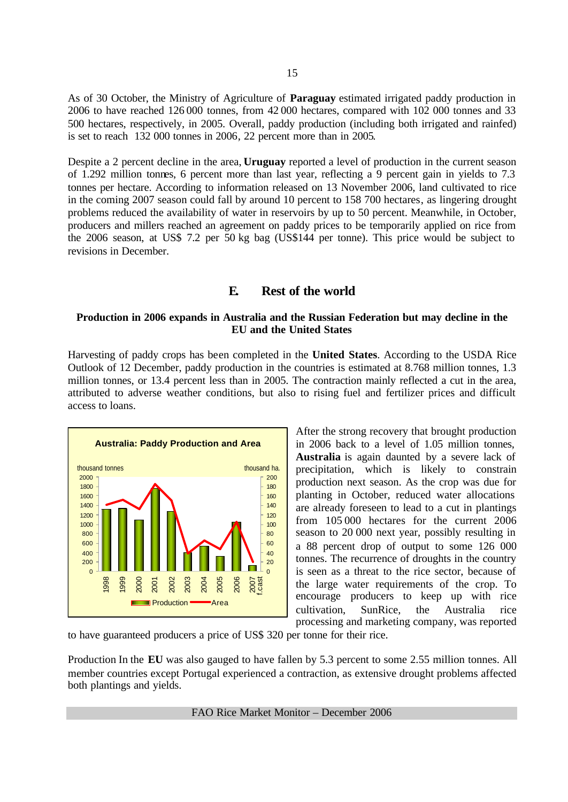As of 30 October, the Ministry of Agriculture of **Paraguay** estimated irrigated paddy production in 2006 to have reached 126 000 tonnes, from 42 000 hectares, compared with 102 000 tonnes and 33 500 hectares, respectively, in 2005. Overall, paddy production (including both irrigated and rainfed) is set to reach 132 000 tonnes in 2006, 22 percent more than in 2005.

Despite a 2 percent decline in the area, **Uruguay** reported a level of production in the current season of 1.292 million tonnes, 6 percent more than last year, reflecting a 9 percent gain in yields to 7.3 tonnes per hectare. According to information released on 13 November 2006, land cultivated to rice in the coming 2007 season could fall by around 10 percent to 158 700 hectares, as lingering drought problems reduced the availability of water in reservoirs by up to 50 percent. Meanwhile, in October, producers and millers reached an agreement on paddy prices to be temporarily applied on rice from the 2006 season, at US\$ 7.2 per 50 kg bag (US\$144 per tonne). This price would be subject to revisions in December.

# **E. Rest of the world**

#### **Production in 2006 expands in Australia and the Russian Federation but may decline in the EU and the United States**

Harvesting of paddy crops has been completed in the **United States**. According to the USDA Rice Outlook of 12 December, paddy production in the countries is estimated at 8.768 million tonnes, 1.3 million tonnes, or 13.4 percent less than in 2005. The contraction mainly reflected a cut in the area, attributed to adverse weather conditions, but also to rising fuel and fertilizer prices and difficult access to loans.



After the strong recovery that brought production in 2006 back to a level of 1.05 million tonnes, **Australia** is again daunted by a severe lack of precipitation, which is likely to constrain production next season. As the crop was due for planting in October, reduced water allocations are already foreseen to lead to a cut in plantings from 105 000 hectares for the current 2006 season to 20 000 next year, possibly resulting in a 88 percent drop of output to some 126 000 tonnes. The recurrence of droughts in the country is seen as a threat to the rice sector, because of the large water requirements of the crop. To encourage producers to keep up with rice cultivation, SunRice, the Australia rice processing and marketing company, was reported

to have guaranteed producers a price of US\$ 320 per tonne for their rice.

Production In the **EU** was also gauged to have fallen by 5.3 percent to some 2.55 million tonnes. All member countries except Portugal experienced a contraction, as extensive drought problems affected both plantings and yields.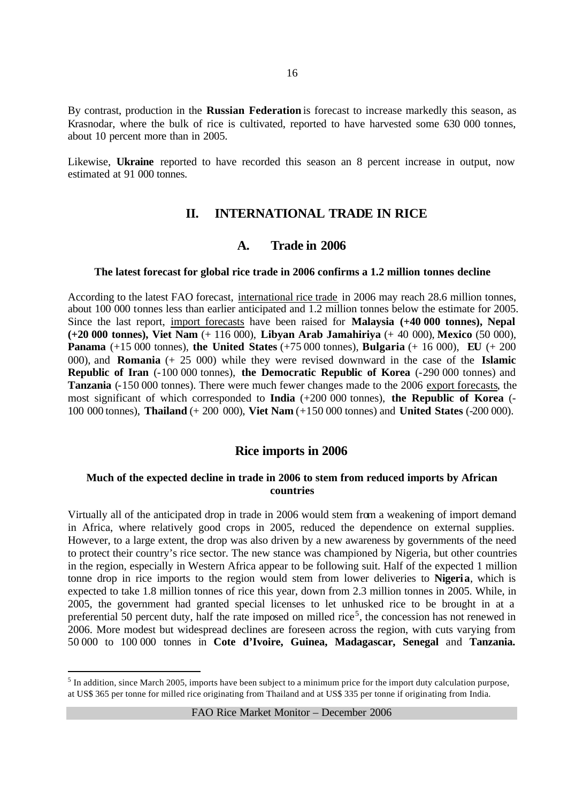By contrast, production in the **Russian Federation** is forecast to increase markedly this season, as Krasnodar, where the bulk of rice is cultivated, reported to have harvested some 630 000 tonnes, about 10 percent more than in 2005.

Likewise, **Ukraine** reported to have recorded this season an 8 percent increase in output, now estimated at 91 000 tonnes.

# **II. INTERNATIONAL TRADE IN RICE**

# **A. Trade in 2006**

#### **The latest forecast for global rice trade in 2006 confirms a 1.2 million tonnes decline**

According to the latest FAO forecast, international rice trade in 2006 may reach 28.6 million tonnes, about 100 000 tonnes less than earlier anticipated and 1.2 million tonnes below the estimate for 2005. Since the last report, import forecasts have been raised for **Malaysia (+40 000 tonnes), Nepal (+20 000 tonnes), Viet Nam** (+ 116 000), **Libyan Arab Jamahiriya** (+ 40 000), **Mexico** (50 000), **Panama** (+15 000 tonnes), **the United States** (+75 000 tonnes), **Bulgaria** (+ 16 000), **EU** (+ 200 000), and **Romania** (+ 25 000) while they were revised downward in the case of the **Islamic Republic of Iran** (-100 000 tonnes), **the Democratic Republic of Korea** (-290 000 tonnes) and **Tanzania** (-150 000 tonnes). There were much fewer changes made to the 2006 export forecasts, the most significant of which corresponded to **India** (+200 000 tonnes), **the Republic of Korea** (- 100 000 tonnes), **Thailand** (+ 200 000), **Viet Nam** (+150 000 tonnes) and **United States** (-200 000).

# **Rice imports in 2006**

## **Much of the expected decline in trade in 2006 to stem from reduced imports by African countries**

Virtually all of the anticipated drop in trade in 2006 would stem from a weakening of import demand in Africa, where relatively good crops in 2005, reduced the dependence on external supplies. However, to a large extent, the drop was also driven by a new awareness by governments of the need to protect their country's rice sector. The new stance was championed by Nigeria, but other countries in the region, especially in Western Africa appear to be following suit. Half of the expected 1 million tonne drop in rice imports to the region would stem from lower deliveries to **Nigeria**, which is expected to take 1.8 million tonnes of rice this year, down from 2.3 million tonnes in 2005. While, in 2005, the government had granted special licenses to let unhusked rice to be brought in at a preferential 50 percent duty, half the rate imposed on milled rice<sup>5</sup>, the concession has not renewed in 2006. More modest but widespread declines are foreseen across the region, with cuts varying from 50 000 to 100 000 tonnes in **Cote d'Ivoire, Guinea, Madagascar, Senegal** and **Tanzania.**

 $<sup>5</sup>$  In addition, since March 2005, imports have been subject to a minimum price for the import duty calculation purpose,</sup> at US\$ 365 per tonne for milled rice originating from Thailand and at US\$ 335 per tonne if originating from India.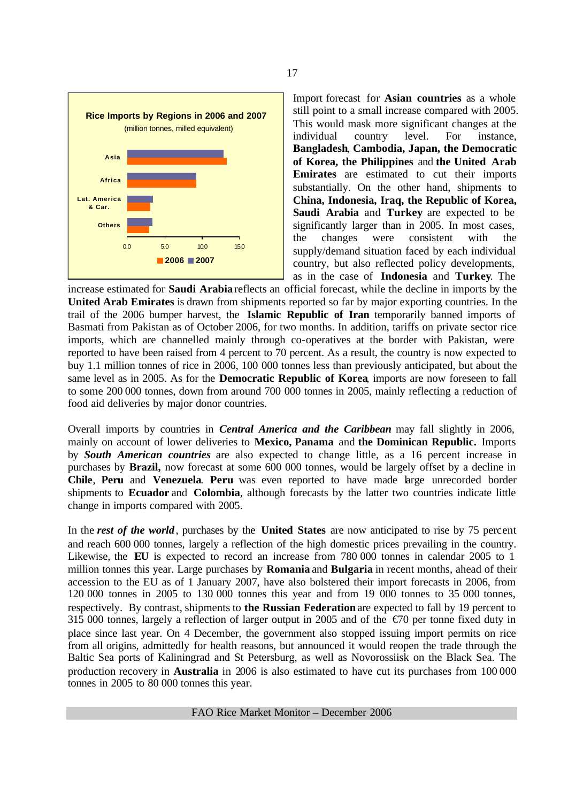

Import forecast for **Asian countries** as a whole still point to a small increase compared with 2005. This would mask more significant changes at the individual country level. For instance, **Bangladesh**, **Cambodia, Japan, the Democratic of Korea, the Philippines** and **the United Arab Emirates** are estimated to cut their imports substantially. On the other hand, shipments to **China, Indonesia, Iraq, the Republic of Korea, Saudi Arabia** and **Turkey** are expected to be significantly larger than in 2005. In most cases, the changes were consistent with the supply/demand situation faced by each individual country, but also reflected policy developments, as in the case of **Indonesia** and **Turkey**. The

increase estimated for **Saudi Arabia** reflects an official forecast, while the decline in imports by the **United Arab Emirates** is drawn from shipments reported so far by major exporting countries. In the trail of the 2006 bumper harvest, the **Islamic Republic of Iran** temporarily banned imports of Basmati from Pakistan as of October 2006, for two months. In addition, tariffs on private sector rice imports, which are channelled mainly through co-operatives at the border with Pakistan, were reported to have been raised from 4 percent to 70 percent. As a result, the country is now expected to buy 1.1 million tonnes of rice in 2006, 100 000 tonnes less than previously anticipated, but about the same level as in 2005. As for the **Democratic Republic of Korea**, imports are now foreseen to fall to some 200 000 tonnes, down from around 700 000 tonnes in 2005, mainly reflecting a reduction of food aid deliveries by major donor countries.

Overall imports by countries in *Central America and the Caribbean* may fall slightly in 2006, mainly on account of lower deliveries to **Mexico, Panama** and **the Dominican Republic.** Imports by *South American countries* are also expected to change little, as a 16 percent increase in purchases by **Brazil,** now forecast at some 600 000 tonnes, would be largely offset by a decline in **Chile**, **Peru** and **Venezuela**. **Peru** was even reported to have made large unrecorded border shipments to **Ecuador** and **Colombia**, although forecasts by the latter two countries indicate little change in imports compared with 2005.

In the *rest of the world*, purchases by the **United States** are now anticipated to rise by 75 percent and reach 600 000 tonnes, largely a reflection of the high domestic prices prevailing in the country. Likewise, the **EU** is expected to record an increase from 780 000 tonnes in calendar 2005 to 1 million tonnes this year. Large purchases by **Romania** and **Bulgaria** in recent months, ahead of their accession to the EU as of 1 January 2007, have also bolstered their import forecasts in 2006, from 120 000 tonnes in 2005 to 130 000 tonnes this year and from 19 000 tonnes to 35 000 tonnes, respectively. By contrast, shipments to **the Russian Federation** are expected to fall by 19 percent to 315 000 tonnes, largely a reflection of larger output in 2005 and of the  $\epsilon$ 70 per tonne fixed duty in place since last year. On 4 December, the government also stopped issuing import permits on rice from all origins, admittedly for health reasons, but announced it would reopen the trade through the Baltic Sea ports of Kaliningrad and St Petersburg, as well as Novorossiisk on the Black Sea. The production recovery in **Australia** in 2006 is also estimated to have cut its purchases from 100 000 tonnes in 2005 to 80 000 tonnes this year.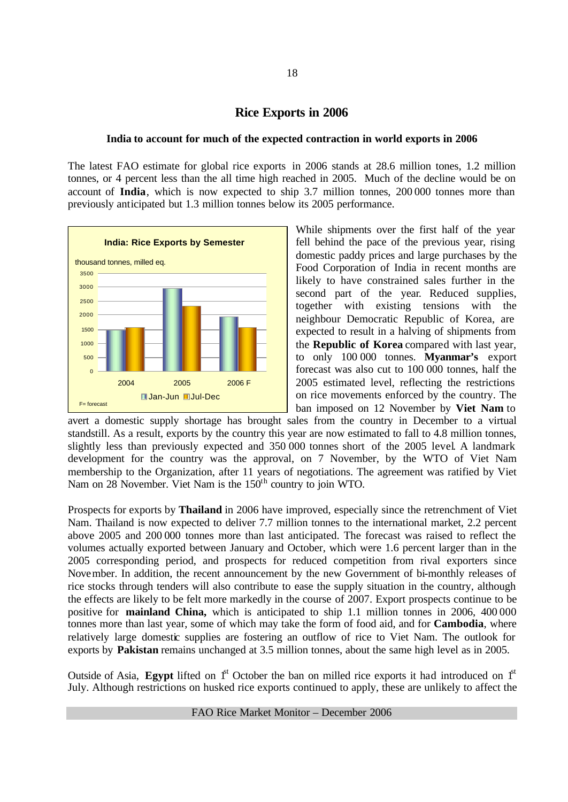# **Rice Exports in 2006**

#### **India to account for much of the expected contraction in world exports in 2006**

The latest FAO estimate for global rice exports in 2006 stands at 28.6 million tones, 1.2 million tonnes, or 4 percent less than the all time high reached in 2005. Much of the decline would be on account of **India**, which is now expected to ship 3.7 million tonnes, 200 000 tonnes more than previously anticipated but 1.3 million tonnes below its 2005 performance.



While shipments over the first half of the year fell behind the pace of the previous year, rising domestic paddy prices and large purchases by the Food Corporation of India in recent months are likely to have constrained sales further in the second part of the year. Reduced supplies, together with existing tensions with the neighbour Democratic Republic of Korea, are expected to result in a halving of shipments from the **Republic of Korea** compared with last year, to only 100 000 tonnes. **Myanmar's** export forecast was also cut to 100 000 tonnes, half the 2005 estimated level, reflecting the restrictions on rice movements enforced by the country. The ban imposed on 12 November by **Viet Nam** to

avert a domestic supply shortage has brought sales from the country in December to a virtual standstill. As a result, exports by the country this year are now estimated to fall to 4.8 million tonnes, slightly less than previously expected and 350 000 tonnes short of the 2005 level. A landmark development for the country was the approval, on 7 November, by the WTO of Viet Nam membership to the Organization, after 11 years of negotiations. The agreement was ratified by Viet Nam on 28 November. Viet Nam is the 150<sup>th</sup> country to join WTO.

Prospects for exports by **Thailand** in 2006 have improved, especially since the retrenchment of Viet Nam. Thailand is now expected to deliver 7.7 million tonnes to the international market, 2.2 percent above 2005 and 200 000 tonnes more than last anticipated. The forecast was raised to reflect the volumes actually exported between January and October, which were 1.6 percent larger than in the 2005 corresponding period, and prospects for reduced competition from rival exporters since November. In addition, the recent announcement by the new Government of bi-monthly releases of rice stocks through tenders will also contribute to ease the supply situation in the country, although the effects are likely to be felt more markedly in the course of 2007. Export prospects continue to be positive for **mainland China,** which is anticipated to ship 1.1 million tonnes in 2006, 400 000 tonnes more than last year, some of which may take the form of food aid, and for **Cambodia**, where relatively large domestic supplies are fostering an outflow of rice to Viet Nam. The outlook for exports by **Pakistan** remains unchanged at 3.5 million tonnes, about the same high level as in 2005.

Outside of Asia, **Egypt** lifted on  $1<sup>st</sup>$  October the ban on milled rice exports it had introduced on  $1<sup>st</sup>$ July. Although restrictions on husked rice exports continued to apply, these are unlikely to affect the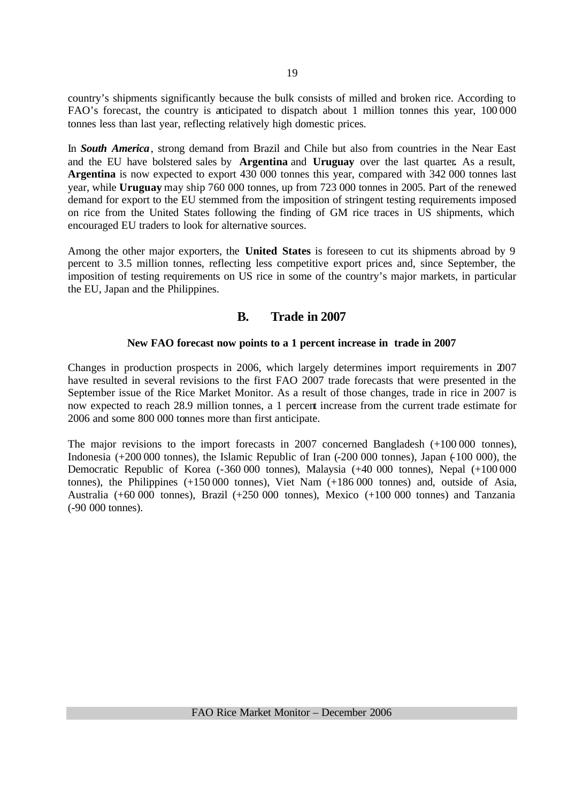country's shipments significantly because the bulk consists of milled and broken rice. According to FAO's forecast, the country is anticipated to dispatch about 1 million tonnes this year, 100 000 tonnes less than last year, reflecting relatively high domestic prices.

In *South America*, strong demand from Brazil and Chile but also from countries in the Near East and the EU have bolstered sales by **Argentina** and **Uruguay** over the last quarter**.** As a result, **Argentina** is now expected to export 430 000 tonnes this year, compared with 342 000 tonnes last year, while **Uruguay** may ship 760 000 tonnes, up from 723 000 tonnes in 2005. Part of the renewed demand for export to the EU stemmed from the imposition of stringent testing requirements imposed on rice from the United States following the finding of GM rice traces in US shipments, which encouraged EU traders to look for alternative sources.

Among the other major exporters, the **United States** is foreseen to cut its shipments abroad by 9 percent to 3.5 million tonnes, reflecting less competitive export prices and, since September, the imposition of testing requirements on US rice in some of the country's major markets, in particular the EU, Japan and the Philippines.

# **B. Trade in 2007**

## **New FAO forecast now points to a 1 percent increase in trade in 2007**

Changes in production prospects in 2006, which largely determines import requirements in 2007 have resulted in several revisions to the first FAO 2007 trade forecasts that were presented in the September issue of the Rice Market Monitor. As a result of those changes, trade in rice in 2007 is now expected to reach 28.9 million tonnes, a 1 percent increase from the current trade estimate for 2006 and some 800 000 tonnes more than first anticipate.

The major revisions to the import forecasts in 2007 concerned Bangladesh (+100 000 tonnes), Indonesia (+200 000 tonnes), the Islamic Republic of Iran (-200 000 tonnes), Japan (-100 000), the Democratic Republic of Korea (-360 000 tonnes), Malaysia (+40 000 tonnes), Nepal (+100 000 tonnes), the Philippines (+150 000 tonnes), Viet Nam (+186 000 tonnes) and, outside of Asia, Australia (+60 000 tonnes), Brazil (+250 000 tonnes), Mexico (+100 000 tonnes) and Tanzania (-90 000 tonnes).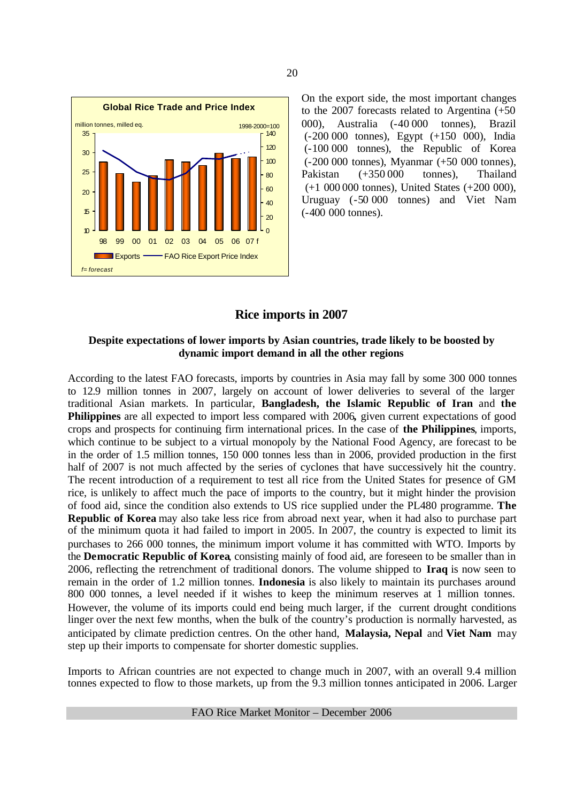

On the export side, the most important changes to the 2007 forecasts related to Argentina (+50 000), Australia (-40 000 tonnes), Brazil (-200 000 tonnes), Egypt (+150 000), India (-100 000 tonnes), the Republic of Korea (-200 000 tonnes), Myanmar (+50 000 tonnes), Pakistan (+350 000 tonnes), Thailand (+1 000 000 tonnes), United States (+200 000), Uruguay (-50 000 tonnes) and Viet Nam (-400 000 tonnes).

# **Rice imports in 2007**

#### **Despite expectations of lower imports by Asian countries, trade likely to be boosted by dynamic import demand in all the other regions**

According to the latest FAO forecasts, imports by countries in Asia may fall by some 300 000 tonnes to 12.9 million tonnes in 2007, largely on account of lower deliveries to several of the larger traditional Asian markets. In particular, **Bangladesh, the Islamic Republic of Iran** and **the Philippines** are all expected to import less compared with 2006**,** given current expectations of good crops and prospects for continuing firm international prices. In the case of **the Philippines**, imports, which continue to be subject to a virtual monopoly by the National Food Agency, are forecast to be in the order of 1.5 million tonnes, 150 000 tonnes less than in 2006, provided production in the first half of 2007 is not much affected by the series of cyclones that have successively hit the country. The recent introduction of a requirement to test all rice from the United States for presence of GM rice, is unlikely to affect much the pace of imports to the country, but it might hinder the provision of food aid, since the condition also extends to US rice supplied under the PL480 programme. **The Republic of Korea** may also take less rice from abroad next year, when it had also to purchase part of the minimum quota it had failed to import in 2005. In 2007, the country is expected to limit its purchases to 266 000 tonnes, the minimum import volume it has committed with WTO. Imports by the **Democratic Republic of Korea**, consisting mainly of food aid, are foreseen to be smaller than in 2006, reflecting the retrenchment of traditional donors. The volume shipped to **Iraq** is now seen to remain in the order of 1.2 million tonnes. **Indonesia** is also likely to maintain its purchases around 800 000 tonnes, a level needed if it wishes to keep the minimum reserves at 1 million tonnes. However, the volume of its imports could end being much larger, if the current drought conditions linger over the next few months, when the bulk of the country's production is normally harvested, as anticipated by climate prediction centres. On the other hand, **Malaysia, Nepal** and **Viet Nam** may step up their imports to compensate for shorter domestic supplies.

Imports to African countries are not expected to change much in 2007, with an overall 9.4 million tonnes expected to flow to those markets, up from the 9.3 million tonnes anticipated in 2006. Larger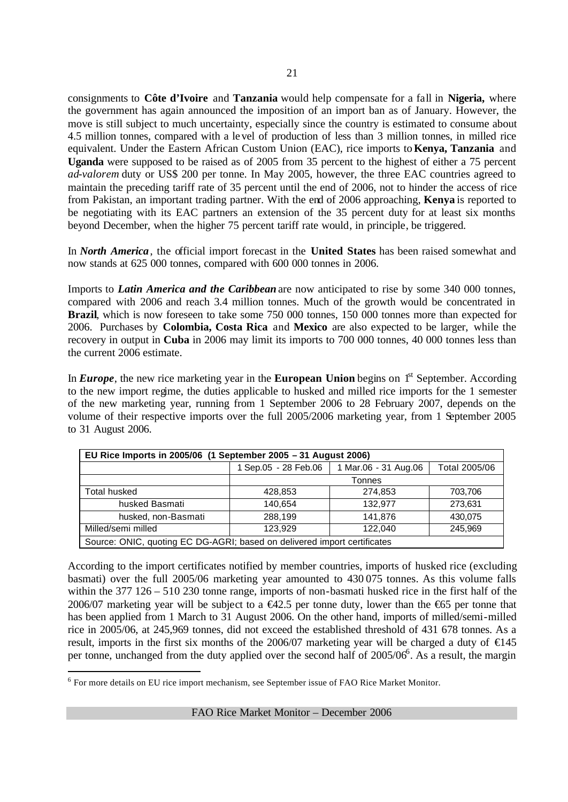consignments to **Côte d'Ivoire** and **Tanzania** would help compensate for a fall in **Nigeria,** where the government has again announced the imposition of an import ban as of January. However, the move is still subject to much uncertainty, especially since the country is estimated to consume about 4.5 million tonnes, compared with a level of production of less than 3 million tonnes, in milled rice equivalent. Under the Eastern African Custom Union (EAC), rice imports to **Kenya, Tanzania** and **Uganda** were supposed to be raised as of 2005 from 35 percent to the highest of either a 75 percent *ad-valorem* duty or US\$ 200 per tonne. In May 2005, however, the three EAC countries agreed to maintain the preceding tariff rate of 35 percent until the end of 2006, not to hinder the access of rice from Pakistan, an important trading partner. With the end of 2006 approaching, **Kenya** is reported to be negotiating with its EAC partners an extension of the 35 percent duty for at least six months beyond December, when the higher 75 percent tariff rate would, in principle, be triggered.

In *North America*, the official import forecast in the **United States** has been raised somewhat and now stands at 625 000 tonnes, compared with 600 000 tonnes in 2006.

Imports to *Latin America and the Caribbean* are now anticipated to rise by some 340 000 tonnes, compared with 2006 and reach 3.4 million tonnes. Much of the growth would be concentrated in **Brazil**, which is now foreseen to take some 750 000 tonnes, 150 000 tonnes more than expected for 2006. Purchases by **Colombia, Costa Rica** and **Mexico** are also expected to be larger, while the recovery in output in **Cuba** in 2006 may limit its imports to 700 000 tonnes, 40 000 tonnes less than the current 2006 estimate.

In **Europe**, the new rice marketing year in the **European Union** begins on  $1<sup>st</sup>$  September. According to the new import regime, the duties applicable to husked and milled rice imports for the 1 semester of the new marketing year, running from 1 September 2006 to 28 February 2007, depends on the volume of their respective imports over the full 2005/2006 marketing year, from 1 September 2005 to 31 August 2006.

| EU Rice Imports in 2005/06 (1 September 2005 - 31 August 2006)           |                      |                      |         |  |  |  |  |
|--------------------------------------------------------------------------|----------------------|----------------------|---------|--|--|--|--|
|                                                                          | 1 Sep.05 - 28 Feb.06 | 1 Mar.06 - 31 Aug.06 |         |  |  |  |  |
| Tonnes                                                                   |                      |                      |         |  |  |  |  |
| <b>Total husked</b>                                                      | 428.853              | 274.853              | 703,706 |  |  |  |  |
| husked Basmati                                                           | 140.654              | 132.977              | 273,631 |  |  |  |  |
| husked, non-Basmati                                                      | 288,199              | 141.876              | 430,075 |  |  |  |  |
| Milled/semi milled                                                       | 123.929              | 122.040              | 245.969 |  |  |  |  |
| Source: ONIC, quoting EC DG-AGRI; based on delivered import certificates |                      |                      |         |  |  |  |  |

According to the import certificates notified by member countries, imports of husked rice (excluding basmati) over the full 2005/06 marketing year amounted to 430 075 tonnes. As this volume falls within the 377 126 – 510 230 tonne range, imports of non-basmati husked rice in the first half of the 2006/07 marketing year will be subject to a  $\epsilon$ 42.5 per tonne duty, lower than the  $\epsilon$ 65 per tonne that has been applied from 1 March to 31 August 2006. On the other hand, imports of milled/semi-milled rice in 2005/06, at 245,969 tonnes, did not exceed the established threshold of 431 678 tonnes. As a result, imports in the first six months of the 2006/07 marketing year will be charged a duty of  $\epsilon$ 45 per tonne, unchanged from the duty applied over the second half of 2005/06<sup>6</sup>. As a result, the margin

<sup>&</sup>lt;sup>6</sup> For more details on EU rice import mechanism, see September issue of FAO Rice Market Monitor.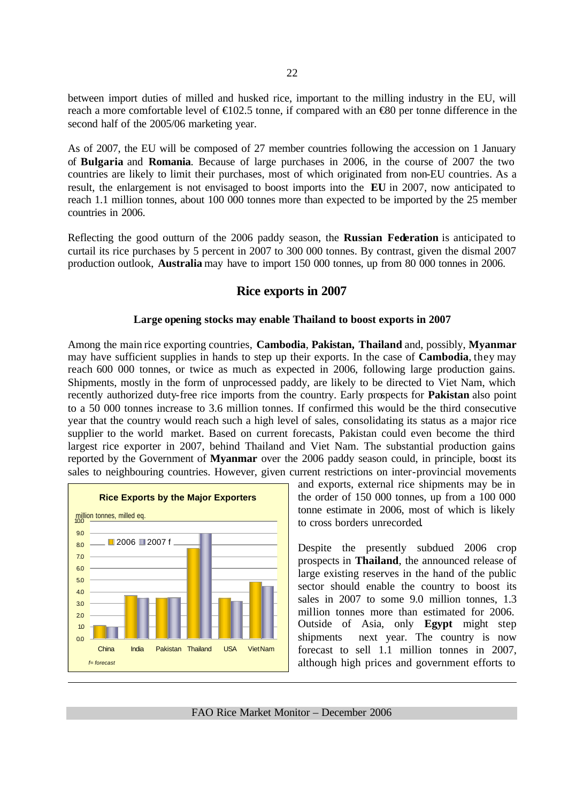between import duties of milled and husked rice, important to the milling industry in the EU, will reach a more comfortable level of  $\epsilon$ 102.5 tonne, if compared with an  $\epsilon$ 80 per tonne difference in the second half of the 2005/06 marketing year.

As of 2007, the EU will be composed of 27 member countries following the accession on 1 January of **Bulgaria** and **Romania**. Because of large purchases in 2006, in the course of 2007 the two countries are likely to limit their purchases, most of which originated from non-EU countries. As a result, the enlargement is not envisaged to boost imports into the **EU** in 2007, now anticipated to reach 1.1 million tonnes, about 100 000 tonnes more than expected to be imported by the 25 member countries in 2006.

Reflecting the good outturn of the 2006 paddy season, the **Russian Federation** is anticipated to curtail its rice purchases by 5 percent in 2007 to 300 000 tonnes. By contrast, given the dismal 2007 production outlook, **Australia** may have to import 150 000 tonnes, up from 80 000 tonnes in 2006.

# **Rice exports in 2007**

#### **Large opening stocks may enable Thailand to boost exports in 2007**

Among the main rice exporting countries, **Cambodia**, **Pakistan, Thailand** and, possibly, **Myanmar** may have sufficient supplies in hands to step up their exports. In the case of **Cambodia**, they may reach 600 000 tonnes, or twice as much as expected in 2006, following large production gains. Shipments, mostly in the form of unprocessed paddy, are likely to be directed to Viet Nam, which recently authorized duty-free rice imports from the country. Early prospects for **Pakistan** also point to a 50 000 tonnes increase to 3.6 million tonnes. If confirmed this would be the third consecutive year that the country would reach such a high level of sales, consolidating its status as a major rice supplier to the world market. Based on current forecasts, Pakistan could even become the third largest rice exporter in 2007, behind Thailand and Viet Nam. The substantial production gains reported by the Government of **Myanmar** over the 2006 paddy season could, in principle, boost its sales to neighbouring countries. However, given current restrictions on inter-provincial movements



and exports, external rice shipments may be in the order of 150 000 tonnes, up from a 100 000 tonne estimate in 2006, most of which is likely to cross borders unrecorded.

Despite the presently subdued 2006 crop prospects in **Thailand**, the announced release of large existing reserves in the hand of the public sector should enable the country to boost its sales in 2007 to some 9.0 million tonnes, 1.3 million tonnes more than estimated for 2006. Outside of Asia, only **Egypt** might step shipments next year. The country is now forecast to sell 1.1 million tonnes in 2007, although high prices and government efforts to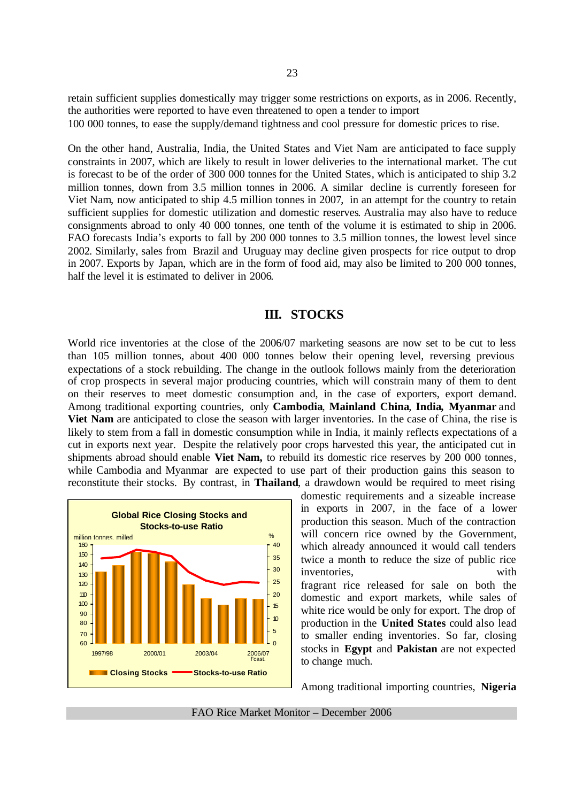retain sufficient supplies domestically may trigger some restrictions on exports, as in 2006. Recently, the authorities were reported to have even threatened to open a tender to import 100 000 tonnes, to ease the supply/demand tightness and cool pressure for domestic prices to rise.

On the other hand, Australia, India, the United States and Viet Nam are anticipated to face supply constraints in 2007, which are likely to result in lower deliveries to the international market. The cut is forecast to be of the order of 300 000 tonnes for the United States, which is anticipated to ship 3.2 million tonnes, down from 3.5 million tonnes in 2006. A similar decline is currently foreseen for Viet Nam, now anticipated to ship 4.5 million tonnes in 2007, in an attempt for the country to retain sufficient supplies for domestic utilization and domestic reserves. Australia may also have to reduce consignments abroad to only 40 000 tonnes, one tenth of the volume it is estimated to ship in 2006. FAO forecasts India's exports to fall by 200 000 tonnes to 3.5 million tonnes, the lowest level since 2002. Similarly, sales from Brazil and Uruguay may decline given prospects for rice output to drop in 2007. Exports by Japan, which are in the form of food aid, may also be limited to 200 000 tonnes, half the level it is estimated to deliver in 2006.

# **III. STOCKS**

World rice inventories at the close of the 2006/07 marketing seasons are now set to be cut to less than 105 million tonnes, about 400 000 tonnes below their opening level, reversing previous expectations of a stock rebuilding. The change in the outlook follows mainly from the deterioration of crop prospects in several major producing countries, which will constrain many of them to dent on their reserves to meet domestic consumption and, in the case of exporters, export demand. Among traditional exporting countries, only **Cambodia**, **Mainland China**, **India, Myanmar** and **Viet Nam** are anticipated to close the season with larger inventories. In the case of China, the rise is likely to stem from a fall in domestic consumption while in India, it mainly reflects expectations of a cut in exports next year. Despite the relatively poor crops harvested this year, the anticipated cut in shipments abroad should enable **Viet Nam,** to rebuild its domestic rice reserves by 200 000 tonnes, while Cambodia and Myanmar are expected to use part of their production gains this season to reconstitute their stocks. By contrast, in **Thailand**, a drawdown would be required to meet rising



domestic requirements and a sizeable increase in exports in 2007, in the face of a lower production this season. Much of the contraction will concern rice owned by the Government, which already announced it would call tenders twice a month to reduce the size of public rice inventories, with fragrant rice released for sale on both the domestic and export markets, while sales of white rice would be only for export. The drop of production in the **United States** could also lead to smaller ending inventories. So far, closing stocks in **Egypt** and **Pakistan** are not expected to change much.

Among traditional importing countries, **Nigeria**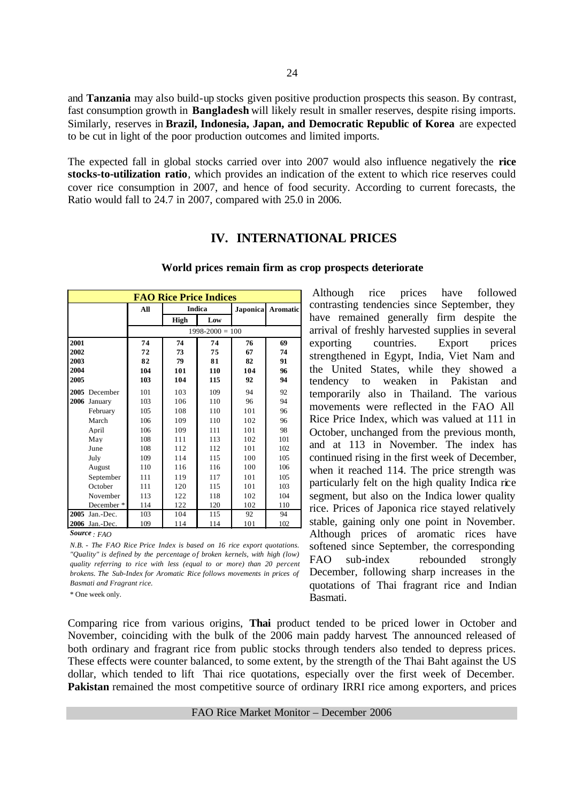and **Tanzania** may also build-up stocks given positive production prospects this season. By contrast, fast consumption growth in **Bangladesh** will likely result in smaller reserves, despite rising imports. Similarly, reserves in **Brazil, Indonesia, Japan, and Democratic Republic of Korea** are expected to be cut in light of the poor production outcomes and limited imports.

The expected fall in global stocks carried over into 2007 would also influence negatively the **rice stocks-to-utilization ratio**, which provides an indication of the extent to which rice reserves could cover rice consumption in 2007, and hence of food security. According to current forecasts, the Ratio would fall to 24.7 in 2007, compared with 25.0 in 2006.

# **IV. INTERNATIONAL PRICES**

|      | <b>FAO Rice Price Indices</b> |     |      |                     |                 |                 |  |  |  |
|------|-------------------------------|-----|------|---------------------|-----------------|-----------------|--|--|--|
|      |                               | All |      | <b>Indica</b>       | <b>Japonica</b> | <b>Aromatic</b> |  |  |  |
|      |                               |     | High | Low                 |                 |                 |  |  |  |
|      |                               |     |      | $1998 - 2000 = 100$ |                 |                 |  |  |  |
| 2001 |                               | 74  | 74   | 74                  | 76              | 69              |  |  |  |
| 2002 |                               | 72  | 73   | 75                  | 67              | 74              |  |  |  |
| 2003 |                               | 82  | 79   | 81                  | 82              | 91              |  |  |  |
| 2004 |                               | 104 | 101  | 110                 | 104             | 96              |  |  |  |
| 2005 |                               | 103 | 104  | 115                 | 92              | 94              |  |  |  |
| 2005 | December                      | 101 | 103  | 109                 | 94              | 92              |  |  |  |
|      | 2006 January                  | 103 | 106  | 110                 | 96              | 94              |  |  |  |
|      | February                      | 105 | 108  | 110                 | 101             | 96              |  |  |  |
|      | March                         | 106 | 109  | 110                 | 102             | 96              |  |  |  |
|      | April                         | 106 | 109  | 111                 | 101             | 98              |  |  |  |
|      | May                           | 108 | 111  | 113                 | 102             | 101             |  |  |  |
|      | June                          | 108 | 112  | 112                 | 101             | 102             |  |  |  |
|      | July                          | 109 | 114  | 115                 | 100             | 105             |  |  |  |
|      | August                        | 110 | 116  | 116                 | 100             | 106             |  |  |  |
|      | September                     | 111 | 119  | 117                 | 101             | 105             |  |  |  |
|      | October                       | 111 | 120  | 115                 | 101             | 103             |  |  |  |
|      | November                      | 113 | 122  | 118                 | 102             | 104             |  |  |  |
|      | December *                    | 114 | 122  | 120                 | 102             | 110             |  |  |  |
| 2005 | Jan.-Dec.                     | 103 | 104  | 115                 | 92              | 94              |  |  |  |
|      | 2006 Jan.-Dec.                | 109 | 114  | 114                 | 101             | 102             |  |  |  |

#### **World prices remain firm as crop prospects deteriorate**

Although rice prices have followed contrasting tendencies since September, they have remained generally firm despite the arrival of freshly harvested supplies in several exporting countries. Export prices strengthened in Egypt, India, Viet Nam and the United States, while they showed a tendency to weaken in Pakistan and temporarily also in Thailand. The various movements were reflected in the FAO All Rice Price Index, which was valued at 111 in October, unchanged from the previous month, and at 113 in November. The index has continued rising in the first week of December, when it reached 114. The price strength was particularly felt on the high quality Indica rice segment, but also on the Indica lower quality rice. Prices of Japonica rice stayed relatively stable, gaining only one point in November. Although prices of aromatic rices have softened since September, the corresponding FAO sub-index rebounded strongly December, following sharp increases in the quotations of Thai fragrant rice and Indian Basmati.

*Source : FAO N.B. - The FAO Rice Price Index is based on 16 rice export quotations. "Quality" is defined by the percentage of broken kernels, with high (low) quality referring to rice with less (equal to or more) than 20 percent brokens. The Sub-Index for Aromatic Rice follows movements in prices of Basmati and Fragrant rice.*

\* One week only.

Comparing rice from various origins, **Thai** product tended to be priced lower in October and November, coinciding with the bulk of the 2006 main paddy harvest. The announced released of both ordinary and fragrant rice from public stocks through tenders also tended to depress prices. These effects were counter balanced, to some extent, by the strength of the Thai Baht against the US dollar, which tended to lift Thai rice quotations, especially over the first week of December. **Pakistan** remained the most competitive source of ordinary IRRI rice among exporters, and prices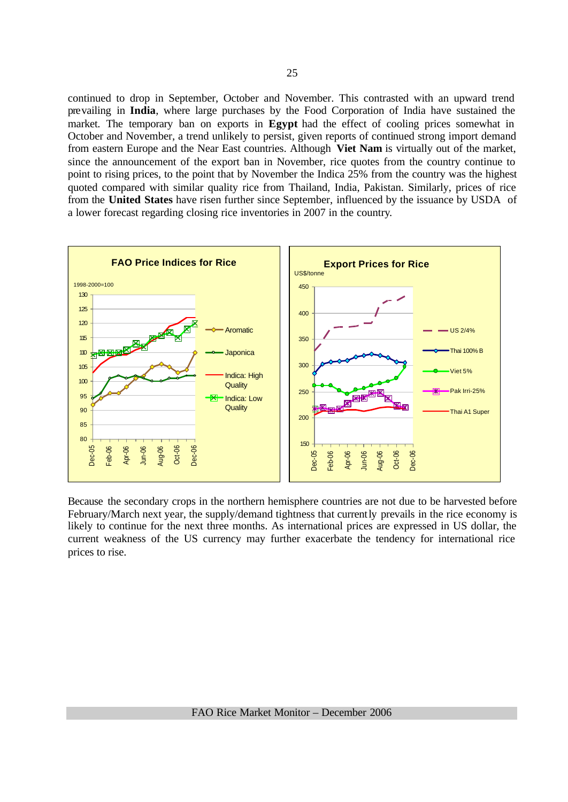continued to drop in September, October and November. This contrasted with an upward trend prevailing in **India**, where large purchases by the Food Corporation of India have sustained the market. The temporary ban on exports in **Egypt** had the effect of cooling prices somewhat in October and November, a trend unlikely to persist, given reports of continued strong import demand from eastern Europe and the Near East countries. Although **Viet Nam** is virtually out of the market, since the announcement of the export ban in November, rice quotes from the country continue to point to rising prices, to the point that by November the Indica 25% from the country was the highest quoted compared with similar quality rice from Thailand, India, Pakistan. Similarly, prices of rice from the **United States** have risen further since September, influenced by the issuance by USDA of a lower forecast regarding closing rice inventories in 2007 in the country.



Because the secondary crops in the northern hemisphere countries are not due to be harvested before February/March next year, the supply/demand tightness that currently prevails in the rice economy is likely to continue for the next three months. As international prices are expressed in US dollar, the current weakness of the US currency may further exacerbate the tendency for international rice prices to rise.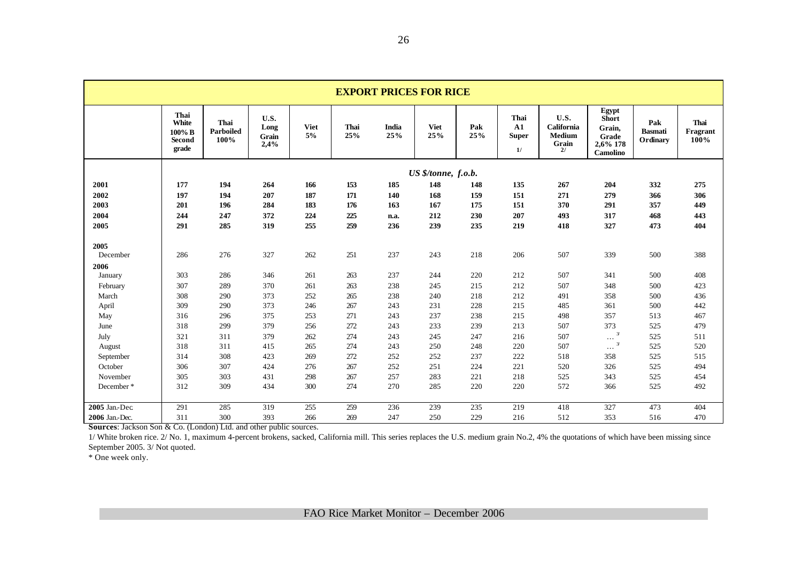| <b>EXPORT PRICES FOR RICE</b> |                                                      |                                  |                               |                   |                    |                     |                     |            |                                                 |                                                    |                                                                         |                                   |                          |
|-------------------------------|------------------------------------------------------|----------------------------------|-------------------------------|-------------------|--------------------|---------------------|---------------------|------------|-------------------------------------------------|----------------------------------------------------|-------------------------------------------------------------------------|-----------------------------------|--------------------------|
|                               | Thai<br>White<br>$100\%$ B<br><b>Second</b><br>grade | Thai<br><b>Parboiled</b><br>100% | U.S.<br>Long<br>Grain<br>2,4% | <b>Viet</b><br>5% | <b>Thai</b><br>25% | <b>India</b><br>25% | <b>Viet</b><br>25%  | Pak<br>25% | <b>Thai</b><br>${\bf A1}$<br><b>Super</b><br>1/ | U.S.<br>California<br><b>Medium</b><br>Grain<br>2/ | Egypt<br><b>Short</b><br>Grain,<br>Grade<br>2,6% 178<br><b>Camolino</b> | Pak<br><b>Basmati</b><br>Ordinary | Thai<br>Fragrant<br>100% |
|                               |                                                      |                                  |                               |                   |                    |                     | US \$/tonne, f.o.b. |            |                                                 |                                                    |                                                                         |                                   |                          |
| 2001                          | 177                                                  | 194                              | 264                           | 166               | 153                | 185                 | 148                 | 148        | 135                                             | 267                                                | 204                                                                     | 332                               | 275                      |
| 2002                          | 197                                                  | 194                              | 207                           | 187               | 171                | 140                 | 168                 | 159        | 151                                             | 271                                                | 279                                                                     | 366                               | 306                      |
| 2003                          | 201                                                  | 196                              | 284                           | 183               | 176                | 163                 | 167                 | 175        | 151                                             | 370                                                | 291                                                                     | 357                               | 449                      |
| 2004                          | 244                                                  | 247                              | 372                           | 224               | 225                | n.a.                | 212                 | 230        | 207                                             | 493                                                | 317                                                                     | 468                               | 443                      |
| 2005                          | 291                                                  | 285                              | 319                           | 255               | 259                | 236                 | 239                 | 235        | 219                                             | 418                                                | 327                                                                     | 473                               | 404                      |
| 2005                          |                                                      |                                  |                               |                   |                    |                     |                     |            |                                                 |                                                    |                                                                         |                                   |                          |
| December                      | 286                                                  | 276                              | 327                           | 262               | 251                | 237                 | 243                 | 218        | 206                                             | 507                                                | 339                                                                     | 500                               | 388                      |
| 2006                          |                                                      |                                  |                               |                   |                    |                     |                     |            |                                                 |                                                    |                                                                         |                                   |                          |
| January                       | 303                                                  | 286                              | 346                           | 261               | 263                | 237                 | 244                 | 220        | 212                                             | 507                                                | 341                                                                     | 500                               | 408                      |
| February                      | 307                                                  | 289                              | 370                           | 261               | 263                | 238                 | 245                 | 215        | 212                                             | 507                                                | 348                                                                     | 500                               | 423                      |
| March                         | 308                                                  | 290                              | 373                           | 252               | 265                | 238                 | 240                 | 218        | 212                                             | 491                                                | 358                                                                     | 500                               | 436                      |
| April                         | 309                                                  | 290                              | 373                           | 246               | 267                | 243                 | 231                 | 228        | 215                                             | 485                                                | 361                                                                     | 500                               | 442                      |
| May                           | 316                                                  | 296                              | 375                           | 253               | 271                | 243                 | 237                 | 238        | 215                                             | 498                                                | 357                                                                     | 513                               | 467                      |
| June                          | 318                                                  | 299                              | 379                           | 256               | 272                | 243                 | 233                 | 239        | 213                                             | 507                                                | 373                                                                     | 525                               | 479                      |
| July                          | 321                                                  | 311                              | 379                           | 262               | 274                | 243                 | 245                 | 247        | 216                                             | 507                                                | $\mathcal{Z}$<br>$\cdots$                                               | 525                               | 511                      |
| August                        | 318                                                  | 311                              | 415                           | 265               | 274                | 243                 | 250                 | 248        | 220                                             | 507                                                | 3/<br>$\cdots$                                                          | 525                               | 520                      |
| September                     | 314                                                  | 308                              | 423                           | 269               | 272                | 252                 | 252                 | 237        | 222                                             | 518                                                | 358                                                                     | 525                               | 515                      |
| October                       | 306                                                  | 307                              | 424                           | 276               | 267                | 252                 | 251                 | 224        | 221                                             | 520                                                | 326                                                                     | 525                               | 494                      |
| November                      | 305                                                  | 303                              | 431                           | 298               | 267                | 257                 | 283                 | 221        | 218                                             | 525                                                | 343                                                                     | 525                               | 454                      |
| December*                     | 312                                                  | 309                              | 434                           | 300               | 274                | 270                 | 285                 | 220        | 220                                             | 572                                                | 366                                                                     | 525                               | 492                      |
| 2005 Jan.-Dec                 | 291                                                  | 285                              | 319                           | 255               | 259                | 236                 | 239                 | 235        | 219                                             | 418                                                | 327                                                                     | 473                               | 404                      |
| 2006 Jan.-Dec.                | 311                                                  | 300                              | 393                           | 266               | 269                | 247                 | 250                 | 229        | 216                                             | 512                                                | 353                                                                     | 516                               | 470                      |

**Sources**: Jackson Son & Co. (London) Ltd. and other public sources.

1/ White broken rice. 2/ No. 1, maximum 4-percent brokens, sacked, California mill. This series replaces the U.S. medium grain No.2, 4% the quotations of which have been missing since September 2005. 3/ Not quoted.

\* One week only.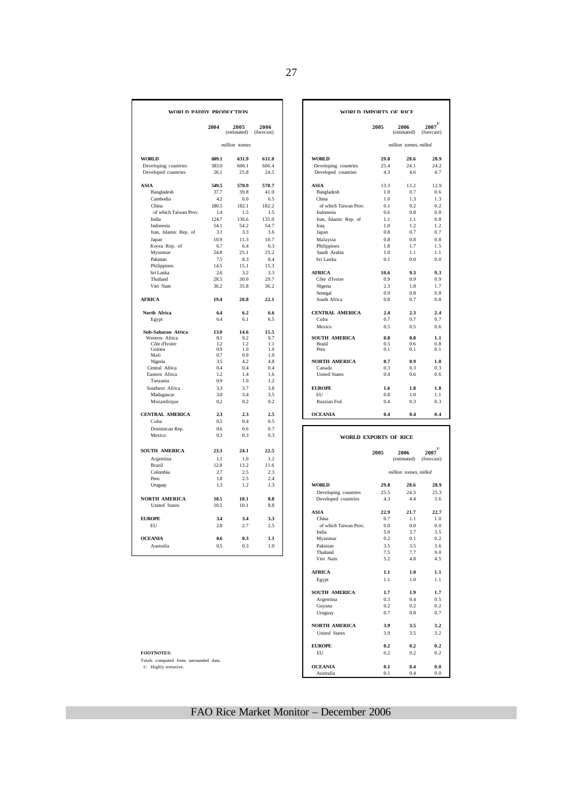| WORLD PADDY PRODUCTION                       |              |                     |                       | WORLD IMPORTS OF RICE          |             |                        |                            |
|----------------------------------------------|--------------|---------------------|-----------------------|--------------------------------|-------------|------------------------|----------------------------|
|                                              | 2004         | 2005<br>(estimated) | 2006<br>(forecast)    |                                | 2005        | 2006<br>(estimated)    | $2007^{1/2}$<br>(forecast) |
|                                              |              | million tonnes      |                       |                                |             | million tonnes, milled |                            |
| <b>WORLD</b>                                 | 609.1        | 631.9               | 631.0                 | <b>WORLD</b>                   | 29.8        | 28.6                   | 28.9                       |
| Developing countries                         | 583.0        | 606.1               | 606.4                 | Developing countries           | 25.4        | 24.1                   | 24.2                       |
| Developed countries                          | 26.1         | 25.8                | 24.5                  | Developed countries            | 4.3         | 4.6                    | 4.7                        |
| <b>ASIA</b>                                  | 549.5        | 570.9               | 570.7                 | <b>ASIA</b>                    | 13.3        | 13.2                   | 12.9                       |
| Bangladesh                                   | 37.7         | 39.8                | 41.0                  | Bangladesh                     | 1.0         | 0.7                    | 0.6                        |
| Cambodia                                     | 4.2          | 6.0                 | 6.5                   | China                          | 1.0         | 1.3                    | 1.3                        |
| China                                        | 180.5        | 182.1               | 182.2                 | of which Taiwan Prov.          | 0.1         | 0.2                    | 0.2                        |
| of which Taiwan Prov.                        | 1.4          | 1.5                 | 1.5                   | Indonesia                      | 0.6         | 0.8                    | 0.8                        |
| India                                        | 124.7        | 136.6               | 135.0                 | Iran, Islamic Rep. of          | 1.1         | 1.1                    | 0.8                        |
| Indonesia                                    | 54.1         | 54.2                | 54.7                  | Iraq                           | 1.0         | 1.2                    | 1.2                        |
| Iran, Islamic Rep. of                        | 3.1          | 3.3                 | 3.6                   | Japan                          | 0.8         | 0.7                    | 0.7                        |
| Japan                                        | 10.9         | 11.3                | 10.7                  | Malaysia                       | 0.8         | 0.8                    | 0.8                        |
| Korea Rep. of                                | 6.7<br>24.8  | 6.4<br>25.1         | 6.3<br>25.2           | Philippines                    | 1.8<br>1.0  | 1.7<br>1.1             | 1.5<br>1.1                 |
| Myanmar                                      |              |                     |                       | Saudi Arabia                   |             |                        |                            |
| Pakistan                                     | 7.5<br>14.5  | 8.3<br>15.1         | 8.4<br>15.3           | Sri Lanka                      | 0.1         | 0.0                    | 0.0                        |
| Philippines                                  |              | 3.2                 | 3.3                   |                                |             | 9.3                    | 9.3                        |
| Sri Lanka<br>Thailand                        | 2.6<br>28.5  | 30.0                | 29.7                  | <b>AFRICA</b><br>Côte d'Ivoire | 10.6<br>0.9 | 0.9                    | 0.9                        |
| Viet Nam                                     | 36.2         | 35.8                | 36.2                  | Nigeria                        | 2.3         | 1.8                    | 1.7                        |
|                                              |              |                     |                       | Senegal                        | 0.9         | 0.8                    | 0.8                        |
| <b>AFRICA</b>                                | 19.4         | 20.8                | 22.1                  | South Africa                   | 0.8         | 0.7                    | 0.8                        |
| North Africa                                 | 6.4          | 6.2                 | 6.6                   | <b>CENTRAL AMERICA</b>         | 2.4         | 2.3                    | 2.4                        |
| Egypt                                        | 6.4          | 6.1                 | 6.5                   | Cuba                           | 0.7         | 0.7                    | 07                         |
|                                              |              |                     |                       | Mexico                         | 0.5         | 0.5                    | 0.6                        |
| Sub-Saharan Africa                           | 13.0         | 14.6                | 15.5                  |                                |             |                        |                            |
| Western Africa                               | 8.1          | 9.2                 | 9.7                   | <b>SOUTH AMERICA</b>           | 0.8         | 0.8                    | 1.1                        |
| Côte d'Ivoire<br>Guinea                      | 1.2.<br>0.9  | 1.2<br>1.0          | 1 <sub>1</sub><br>1.0 | Brazil<br>Peru                 | 0.5<br>0.1  | 0 <sub>6</sub><br>0.1  | 0.8<br>0.1                 |
| Mali                                         | 0.7          | 0.9                 | 1.0                   |                                |             |                        |                            |
| Nigeria                                      | 3.5          | 4.2                 | 4.8                   | <b>NORTH AMERICA</b>           | 0.7         | 0.9                    | 1.0                        |
| Central Africa                               | 0.4          | 0.4                 | 0.4                   | Canada                         | 0.3         | 0.3                    | 0 <sup>3</sup>             |
| Eastern Africa                               | 1.2          | 1.4                 | 1.6                   | <b>United States</b>           | 0.4         | 0.6                    | 0.6                        |
| Tanzania                                     | 0.9          | 1.0                 | 1.2                   |                                |             |                        |                            |
| Southern Africa                              | 3.3          | 3.7                 | 3.8                   | <b>EUROPE</b>                  | 1.6         | 1.8                    | 1.8                        |
| Madagascar                                   | 3.0          | 3.4                 | 3.5                   | <b>EU</b>                      | 0.8         | 1.0                    | 1.1                        |
| Mozambique                                   | 0.2          | 0.2                 | 0.2                   | Russian Fed.                   | 0.4         | 0.3                    | 0.3                        |
| <b>CENTRAL AMERICA</b>                       | 2.3          | 2.3                 | 2.5                   | <b>OCEANIA</b>                 | 0.4         | 0.4                    | 0.4                        |
| Cuba                                         | 0.5          | 0.4                 | 0.5                   |                                |             |                        |                            |
| Dominican Rep.                               | 0.6          | 0 <sub>6</sub>      | 0.7                   |                                |             |                        |                            |
| Mexico                                       | 0.3          | 0.3                 | 0.3                   | <b>WORLD EXPORTS OF RICE</b>   |             |                        |                            |
| <b>SOUTH AMERICA</b>                         | 23.3         | 24.1                | 22.5                  |                                | 2005        | 2006                   | 1/<br>2007                 |
| Argentina                                    | 1.1          | 1.0                 | 1.2                   |                                |             | (estimated)            | (forecast)                 |
| Brazil                                       | 12.8         | 13.2                | 11.6                  |                                |             |                        |                            |
| Colombia                                     | 2.7          | 2.5                 | 2.3                   |                                |             | million tonnes, milled |                            |
| Peru                                         | 1.8          | 2.5                 | 2.4                   |                                |             |                        |                            |
| Uruguay                                      | 1.3          | 1.2                 | 1.3                   | <b>WORLD</b>                   | 29.8        | 28.6                   | 28.9                       |
|                                              |              |                     |                       | Developing countries           | 25.5        | 24.3                   | 25.3                       |
| <b>NORTH AMERICA</b><br><b>United States</b> | 10.5<br>10.5 | 10.1<br>10.1        | 8.8<br>8.8            | Developed countries            | 4.3         | 4.4                    | 3.6                        |
|                                              |              |                     |                       | <b>ASIA</b>                    | 22.9        | 21.7                   | 22.7                       |
| <b>EUROPE</b>                                | 3.4          | 3.4                 | 3.3                   | China                          | 0.7         | 1.1                    | 1.0                        |
| EU                                           | 2.8          | 2.7                 | 2.5                   | of which Taiwan Prov.          | 0.0         | 0.0                    | 0.0                        |
|                                              |              |                     |                       | India                          | 5.0         | 3.7                    | 3.5                        |
| <b>OCEANIA</b>                               | 0.6          | 0.3                 | 1.1                   | Myanmar                        | 0.2         | 0.1                    | 0.2                        |
| Australia                                    | 0.5          | 0.3                 | 1.0                   | Pakistan                       | 3.5         | 3.5                    | 3.6                        |
|                                              |              |                     |                       | Thailand                       | 7.5         | 7.7                    | 9.0                        |
|                                              |              |                     |                       | $\mathbf{v}$                   |             |                        |                            |

|             | DY PRODUCTION       |                    | WORLD IMPORTS OF RICE         |                            |  |  |
|-------------|---------------------|--------------------|-------------------------------|----------------------------|--|--|
| 2004        | 2005<br>(estimated) | 2006<br>(forecast) | 2005<br>2006<br>(estimated)   | $2007^{1/2}$<br>(forecast) |  |  |
|             | million tonnes      |                    |                               | million tonnes, milled     |  |  |
| 609.1       | 631.9               | 631.0              | <b>WORLD</b><br>29.8          | 28.6<br>28.9               |  |  |
| 583.0       | 606.1               | 606.4              | 25.4<br>Developing countries  | 24.1<br>24.2               |  |  |
| 26.1        | 25.8                | 24.5               | Developed countries<br>4.3    | 4.6<br>4.7                 |  |  |
| 549.5       | 570.9               | 570.7              | <b>ASIA</b><br>13.3           | 13.2<br>12.9               |  |  |
| 37.7        | 39.8                | 41.0               | 1.0<br>Bangladesh             | 0.7<br>0.6                 |  |  |
| 4.2         | 6.0                 | 6.5                | China<br>1.0                  | 1.3<br>1.3                 |  |  |
| 180.5       | 182.1               | 182.2              | of which Taiwan Prov.<br>0.1  | 0.2<br>0.2                 |  |  |
| 1.4         | 1.5                 | 1.5                | Indonesia<br>0.6              | 0.8<br>0.8                 |  |  |
| 124.7       | 136.6               | 135.0              | Iran, Islamic Rep. of<br>1.1  | 1.1<br>0.8                 |  |  |
| 54.1        | 54.2                | 54.7               | 1.0<br>Iraq                   | 1.2.<br>1.2                |  |  |
| 3.1         | 3.3                 | 3.6                | Japan<br>0.8                  | 0.7<br>0.7                 |  |  |
| 10.9        | 11.3                | 10.7               | Malaysia<br>0.8               | 0.8<br>0.8                 |  |  |
| 6.7         | 6.4                 | 6.3                | 1.8<br>Philippines            | 1.7<br>1.5                 |  |  |
| 24.8        | 25.1                | 25.2               | Saudi Arabia<br>1.0           | 1.1<br>1.1                 |  |  |
| 7.5         | 8.3                 | 8.4                | Sri Lanka<br>0.1              | 0.0<br>0.0                 |  |  |
| 14.5        | 15.1                | 15.3               |                               |                            |  |  |
| 2.6         | 3.2                 | 3.3                | <b>AFRICA</b><br>10.6         | 9.3<br>9.3                 |  |  |
| 28.5        | 30.0                | 29.7               | Côte d'Ivoire<br>0.9          | 0.9<br>0.9                 |  |  |
| 36.2        | 35.8                | 36.2               | 2.3<br>Nigeria                | 1.8<br>1.7                 |  |  |
|             |                     |                    | 0.9<br>Senegal                | 0.8<br>0.8                 |  |  |
| 19.4        | 20.8                | 22.1               | South Africa<br>0.8           | 0.7<br>0.8                 |  |  |
| 6.4         | 6.2                 | 6.6                | <b>CENTRAL AMERICA</b><br>2.4 | 2.4<br>2.3                 |  |  |
| 6.4         | 6.1                 | 6.5                | Cuba<br>0.7                   | 0.7<br>0.7                 |  |  |
|             | 14.6                |                    | Mexico<br>0.5                 | 0.5<br>0.6                 |  |  |
| 13.0<br>8.1 | 9.2                 | 15.5<br>9.7        | <b>SOUTH AMERICA</b><br>0.8   | 0.8<br>1.1                 |  |  |
| 1.2         | 1.2.                | 1.1                | Brazil<br>0.5                 | 0.6<br>0.8                 |  |  |
| 0.9         | 1.0                 | 1.0                | Peru<br>0.1                   | 0.1<br>0.1                 |  |  |
| 0.7         | 0.9                 | 1.0                |                               |                            |  |  |
| 3.5         | 4.2                 | 4.8                | 0.7<br><b>NORTH AMERICA</b>   | 0.9<br>1.0                 |  |  |
| 0.4         | 0.4                 | 0.4                | Canada<br>0.3                 | 0.3<br>0.3                 |  |  |
| 1.2         | 1.4                 | 1.6                | <b>United States</b><br>0.4   | 0.6<br>0.6                 |  |  |
| 0.9         | 1.0                 | 1.2                |                               |                            |  |  |
| 3.3         | 3.7                 | 3.8                | <b>EUROPE</b><br>1.6          | 1.8<br>1.8                 |  |  |
| 3.0         | 3.4                 | 3.5                | <b>EU</b><br>0.8              | 1.0<br>1.1                 |  |  |
| 0.2         | 0.2                 | 0.2                | Russian Fed.<br>0.4           | 0.3<br>0.3                 |  |  |
| 2.3         | 2.3                 | 2.5                | <b>OCEANIA</b><br>0.4         | 0.4<br>0.4                 |  |  |
| 0.5         | 0.4                 | 0.5                |                               |                            |  |  |
| 0.6         | 0.6                 | 0.7                |                               |                            |  |  |
| 0.3         | 0.3                 | 0.3                | <b>WORLD EXPORTS OF RICE</b>  |                            |  |  |
|             |                     |                    |                               | $\cdot$                    |  |  |

# **ASIA 22.9 21.7 22.7**<br> **China 22.9 21.7 22.7**<br> **China 20.0 0.0 0.0 0.0**<br> **India 5.0 3.7 3.5 3.5**<br> **Physimar 2.5 2.9 2.0**<br> **Physimar 2.5 2.5 3.6**<br> **Physimar 2.5 2.7. 9.0**<br> **Phys**  Thailand 7.5 7.7 9.0 Viet Nam 5.2 4.8 4.5 **AFRICA 1.1 1.0 1.1** Egypt **SOUTH AMERICA 1.7 1.9 1.7 Argentina 0.3 0.4 0.5 Guyana 0.2 0.2 0.2 0.2 Conducter**  Argentina 0.3 0.4 0.5 Guyana 0.2 0.2 0.2 Uruguay 0.7 0.8 0.7 **NORTH AMERICA 3.9 3.5 3.2**<br>United States **3.9 3.5 3.2** United States **EUROPE 0.2 0.2 0.2 0.2 0.2 0.2 0.2 0.2 0.2 0.2 0.2 0.2 0.2 0.2 0.2 0.2 0.2 0.2 0.2 1.1 1.1 1.1 1.1 1.1 1.1 1.1 1.1 1.1 1.1 1.1 1.1 1.1 1.1 1.1 1.1 1.** Totals computed from unrounded data. 1/ Highly tentative. **OCEANIA 0.1 0.4 0.0 CEANIA**  $0.1$   $0.4$   $0.0$ <br>Australia  $0.1$   $0.4$   $0.0$  *million tonnes, milled*

**FOOTNOTES:**